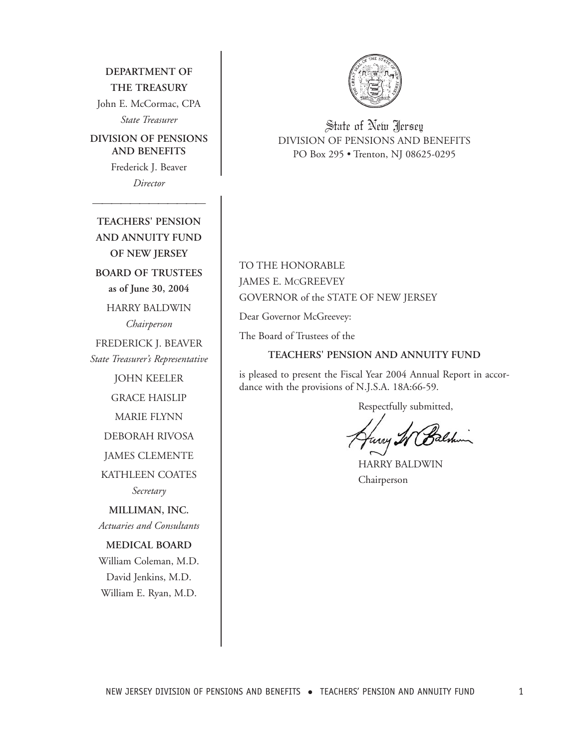**DEPARTMENT OF THE TREASURY** John E. McCormac, CPA *State Treasurer*

**DIVISION OF PENSIONS AND BENEFITS** Frederick J. Beaver

*Director*

*————————————*

**TEACHERS' PENSION AND ANNUITY FUND OF NEW JERSEY BOARD OF TRUSTEES as of June 30, 2004** HARRY BALDWIN *Chairperson* FREDERICK J. BEAVER *State Treasurer's Representative* JOHN KEELER GRACE HAISLIP MARIE FLYNN DEBORAH RIVOSA JAMES CLEMENTE KATHLEEN COATES *Secretary* **MILLIMAN, INC.** *Actuaries and Consultants* **MEDICAL BOARD** William Coleman, M.D. David Jenkins, M.D. William E. Ryan, M.D.



State of New Jersey DIVISION OF PENSIONS AND BENEFITS PO Box 295 • Trenton, NJ 08625-0295

TO THE HONORABLE JAMES E. MCGREEVEY GOVERNOR of the STATE OF NEW JERSEY

Dear Governor McGreevey:

The Board of Trustees of the

### **TEACHERS' PENSION AND ANNUITY FUND**

is pleased to present the Fiscal Year 2004 Annual Report in accordance with the provisions of N.J.S.A. 18A:66-59.

Respectfully submitted,

HARRY BALDWIN Chairperson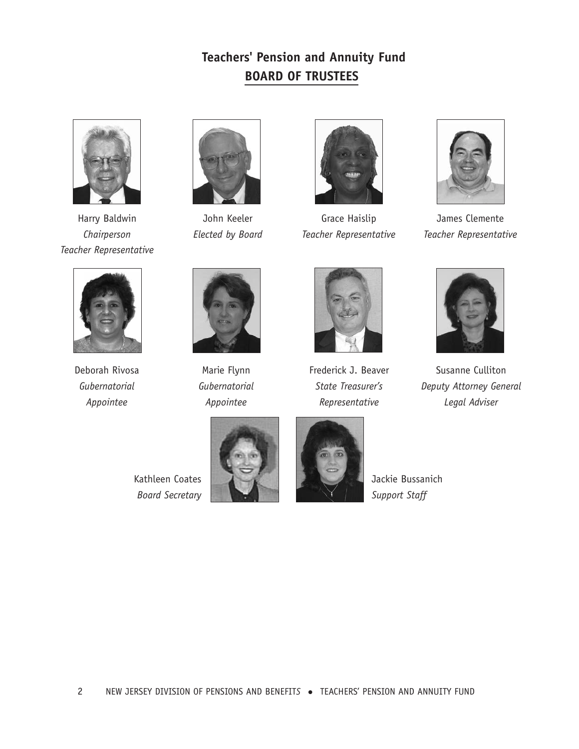# **Teachers' Pension and Annuity Fund BOARD OF TRUSTEES**



Harry Baldwin *Chairperson Teacher Representative*



John Keeler *Elected by Board*



Grace Haislip *Teacher Representative*



James Clemente *Teacher Representative*



Deborah Rivosa *Gubernatorial Appointee*



Marie Flynn *Gubernatorial Appointee*



Frederick J. Beaver *State Treasurer's Representative*



Susanne Culliton *Deputy Attorney General Legal Adviser*







Jackie Bussanich *Support Staff*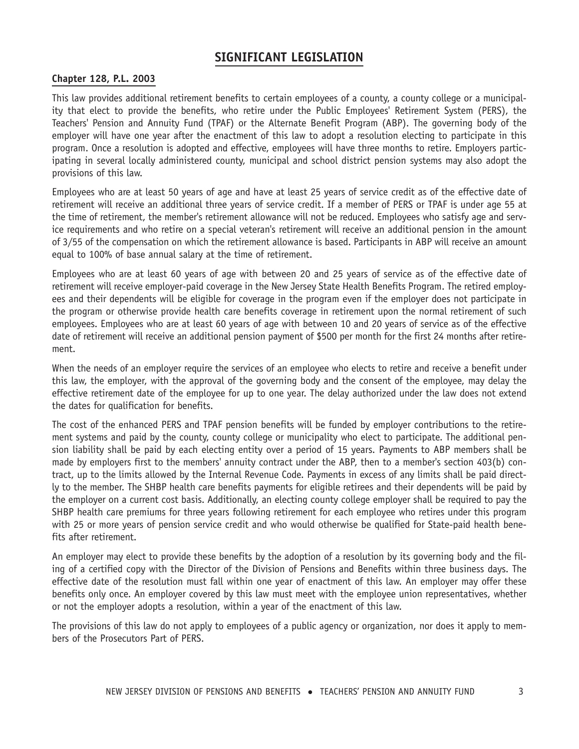# **Chapter 128, P.L. 2003**

This law provides additional retirement benefits to certain employees of a county, a county college or a municipality that elect to provide the benefits, who retire under the Public Employees' Retirement System (PERS), the Teachers' Pension and Annuity Fund (TPAF) or the Alternate Benefit Program (ABP). The governing body of the employer will have one year after the enactment of this law to adopt a resolution electing to participate in this program. Once a resolution is adopted and effective, employees will have three months to retire. Employers participating in several locally administered county, municipal and school district pension systems may also adopt the provisions of this law.

Employees who are at least 50 years of age and have at least 25 years of service credit as of the effective date of retirement will receive an additional three years of service credit. If a member of PERS or TPAF is under age 55 at the time of retirement, the member's retirement allowance will not be reduced. Employees who satisfy age and service requirements and who retire on a special veteran's retirement will receive an additional pension in the amount of 3/55 of the compensation on which the retirement allowance is based. Participants in ABP will receive an amount equal to 100% of base annual salary at the time of retirement.

Employees who are at least 60 years of age with between 20 and 25 years of service as of the effective date of retirement will receive employer-paid coverage in the New Jersey State Health Benefits Program. The retired employees and their dependents will be eligible for coverage in the program even if the employer does not participate in the program or otherwise provide health care benefits coverage in retirement upon the normal retirement of such employees. Employees who are at least 60 years of age with between 10 and 20 years of service as of the effective date of retirement will receive an additional pension payment of \$500 per month for the first 24 months after retirement.

When the needs of an employer require the services of an employee who elects to retire and receive a benefit under this law, the employer, with the approval of the governing body and the consent of the employee, may delay the effective retirement date of the employee for up to one year. The delay authorized under the law does not extend the dates for qualification for benefits.

The cost of the enhanced PERS and TPAF pension benefits will be funded by employer contributions to the retirement systems and paid by the county, county college or municipality who elect to participate. The additional pension liability shall be paid by each electing entity over a period of 15 years. Payments to ABP members shall be made by employers first to the members' annuity contract under the ABP, then to a member's section 403(b) contract, up to the limits allowed by the Internal Revenue Code. Payments in excess of any limits shall be paid directly to the member. The SHBP health care benefits payments for eligible retirees and their dependents will be paid by the employer on a current cost basis. Additionally, an electing county college employer shall be required to pay the SHBP health care premiums for three years following retirement for each employee who retires under this program with 25 or more years of pension service credit and who would otherwise be qualified for State-paid health benefits after retirement.

An employer may elect to provide these benefits by the adoption of a resolution by its governing body and the filing of a certified copy with the Director of the Division of Pensions and Benefits within three business days. The effective date of the resolution must fall within one year of enactment of this law. An employer may offer these benefits only once. An employer covered by this law must meet with the employee union representatives, whether or not the employer adopts a resolution, within a year of the enactment of this law.

The provisions of this law do not apply to employees of a public agency or organization, nor does it apply to members of the Prosecutors Part of PERS.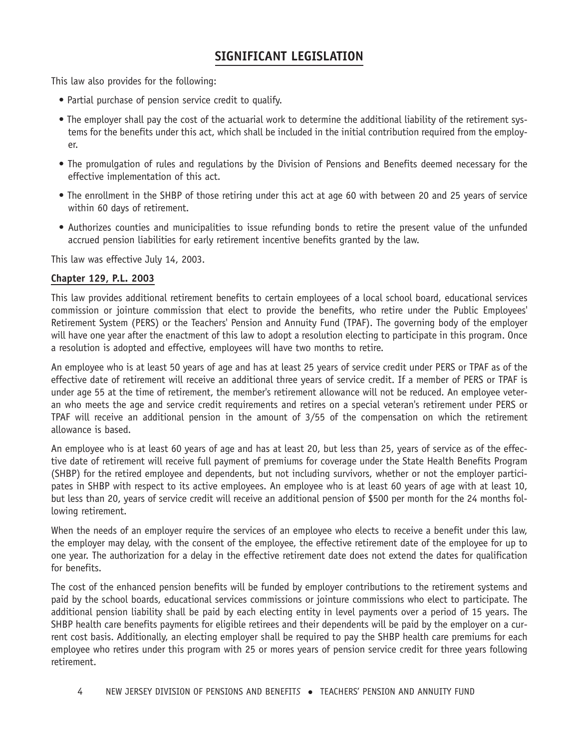This law also provides for the following:

- Partial purchase of pension service credit to qualify.
- The employer shall pay the cost of the actuarial work to determine the additional liability of the retirement systems for the benefits under this act, which shall be included in the initial contribution required from the employer.
- The promulgation of rules and regulations by the Division of Pensions and Benefits deemed necessary for the effective implementation of this act.
- The enrollment in the SHBP of those retiring under this act at age 60 with between 20 and 25 years of service within 60 days of retirement.
- Authorizes counties and municipalities to issue refunding bonds to retire the present value of the unfunded accrued pension liabilities for early retirement incentive benefits granted by the law.

This law was effective July 14, 2003.

### **Chapter 129, P.L. 2003**

This law provides additional retirement benefits to certain employees of a local school board, educational services commission or jointure commission that elect to provide the benefits, who retire under the Public Employees' Retirement System (PERS) or the Teachers' Pension and Annuity Fund (TPAF). The governing body of the employer will have one year after the enactment of this law to adopt a resolution electing to participate in this program. Once a resolution is adopted and effective, employees will have two months to retire.

An employee who is at least 50 years of age and has at least 25 years of service credit under PERS or TPAF as of the effective date of retirement will receive an additional three years of service credit. If a member of PERS or TPAF is under age 55 at the time of retirement, the member's retirement allowance will not be reduced. An employee veteran who meets the age and service credit requirements and retires on a special veteran's retirement under PERS or TPAF will receive an additional pension in the amount of 3/55 of the compensation on which the retirement allowance is based.

An employee who is at least 60 years of age and has at least 20, but less than 25, years of service as of the effective date of retirement will receive full payment of premiums for coverage under the State Health Benefits Program (SHBP) for the retired employee and dependents, but not including survivors, whether or not the employer participates in SHBP with respect to its active employees. An employee who is at least 60 years of age with at least 10, but less than 20, years of service credit will receive an additional pension of \$500 per month for the 24 months following retirement.

When the needs of an employer require the services of an employee who elects to receive a benefit under this law, the employer may delay, with the consent of the employee, the effective retirement date of the employee for up to one year. The authorization for a delay in the effective retirement date does not extend the dates for qualification for benefits.

The cost of the enhanced pension benefits will be funded by employer contributions to the retirement systems and paid by the school boards, educational services commissions or jointure commissions who elect to participate. The additional pension liability shall be paid by each electing entity in level payments over a period of 15 years. The SHBP health care benefits payments for eligible retirees and their dependents will be paid by the employer on a current cost basis. Additionally, an electing employer shall be required to pay the SHBP health care premiums for each employee who retires under this program with 25 or mores years of pension service credit for three years following retirement.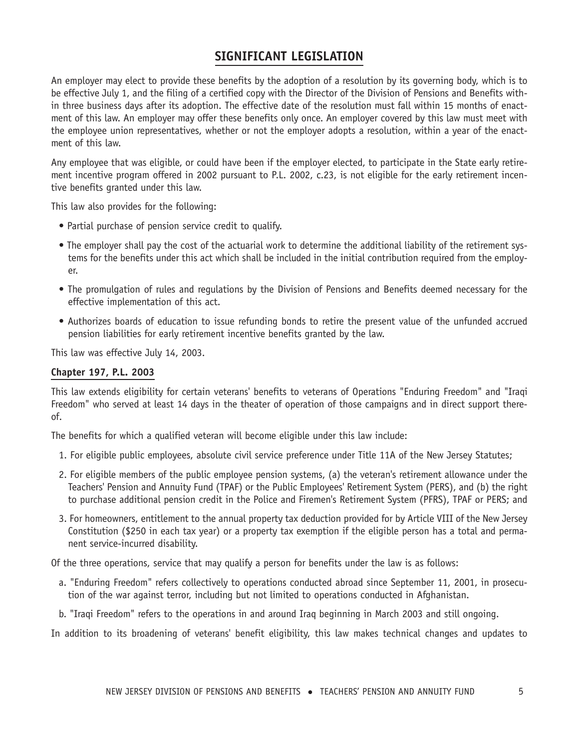An employer may elect to provide these benefits by the adoption of a resolution by its governing body, which is to be effective July 1, and the filing of a certified copy with the Director of the Division of Pensions and Benefits within three business days after its adoption. The effective date of the resolution must fall within 15 months of enactment of this law. An employer may offer these benefits only once. An employer covered by this law must meet with the employee union representatives, whether or not the employer adopts a resolution, within a year of the enactment of this law.

Any employee that was eligible, or could have been if the employer elected, to participate in the State early retirement incentive program offered in 2002 pursuant to P.L. 2002, c.23, is not eligible for the early retirement incentive benefits granted under this law.

This law also provides for the following:

- Partial purchase of pension service credit to qualify.
- The employer shall pay the cost of the actuarial work to determine the additional liability of the retirement systems for the benefits under this act which shall be included in the initial contribution required from the employer.
- The promulgation of rules and regulations by the Division of Pensions and Benefits deemed necessary for the effective implementation of this act.
- Authorizes boards of education to issue refunding bonds to retire the present value of the unfunded accrued pension liabilities for early retirement incentive benefits granted by the law.

This law was effective July 14, 2003.

## **Chapter 197, P.L. 2003**

This law extends eligibility for certain veterans' benefits to veterans of Operations "Enduring Freedom" and "Iraqi Freedom" who served at least 14 days in the theater of operation of those campaigns and in direct support thereof.

The benefits for which a qualified veteran will become eligible under this law include:

- 1. For eligible public employees, absolute civil service preference under Title 11A of the New Jersey Statutes;
- 2. For eligible members of the public employee pension systems, (a) the veteran's retirement allowance under the Teachers' Pension and Annuity Fund (TPAF) or the Public Employees' Retirement System (PERS), and (b) the right to purchase additional pension credit in the Police and Firemen's Retirement System (PFRS), TPAF or PERS; and
- 3. For homeowners, entitlement to the annual property tax deduction provided for by Article VIII of the New Jersey Constitution (\$250 in each tax year) or a property tax exemption if the eligible person has a total and permanent service-incurred disability.

Of the three operations, service that may qualify a person for benefits under the law is as follows:

- a. "Enduring Freedom" refers collectively to operations conducted abroad since September 11, 2001, in prosecution of the war against terror, including but not limited to operations conducted in Afghanistan.
- b. "Iraqi Freedom" refers to the operations in and around Iraq beginning in March 2003 and still ongoing.

In addition to its broadening of veterans' benefit eligibility, this law makes technical changes and updates to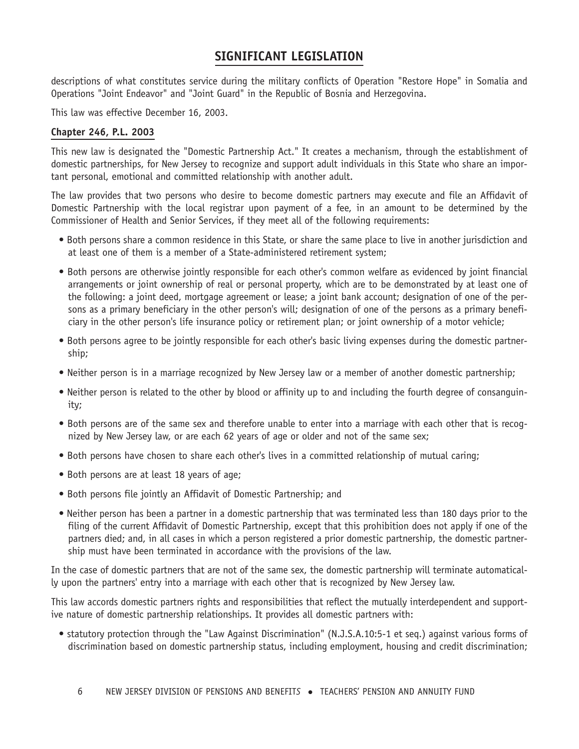descriptions of what constitutes service during the military conflicts of Operation "Restore Hope" in Somalia and Operations "Joint Endeavor" and "Joint Guard" in the Republic of Bosnia and Herzegovina.

This law was effective December 16, 2003.

## **Chapter 246, P.L. 2003**

This new law is designated the "Domestic Partnership Act." It creates a mechanism, through the establishment of domestic partnerships, for New Jersey to recognize and support adult individuals in this State who share an important personal, emotional and committed relationship with another adult.

The law provides that two persons who desire to become domestic partners may execute and file an Affidavit of Domestic Partnership with the local registrar upon payment of a fee, in an amount to be determined by the Commissioner of Health and Senior Services, if they meet all of the following requirements:

- Both persons share a common residence in this State, or share the same place to live in another jurisdiction and at least one of them is a member of a State-administered retirement system;
- Both persons are otherwise jointly responsible for each other's common welfare as evidenced by joint financial arrangements or joint ownership of real or personal property, which are to be demonstrated by at least one of the following: a joint deed, mortgage agreement or lease; a joint bank account; designation of one of the persons as a primary beneficiary in the other person's will; designation of one of the persons as a primary beneficiary in the other person's life insurance policy or retirement plan; or joint ownership of a motor vehicle;
- Both persons agree to be jointly responsible for each other's basic living expenses during the domestic partnership;
- Neither person is in a marriage recognized by New Jersey law or a member of another domestic partnership;
- Neither person is related to the other by blood or affinity up to and including the fourth degree of consanguinity;
- Both persons are of the same sex and therefore unable to enter into a marriage with each other that is recognized by New Jersey law, or are each 62 years of age or older and not of the same sex;
- Both persons have chosen to share each other's lives in a committed relationship of mutual caring;
- Both persons are at least 18 years of age;
- Both persons file jointly an Affidavit of Domestic Partnership; and
- Neither person has been a partner in a domestic partnership that was terminated less than 180 days prior to the filing of the current Affidavit of Domestic Partnership, except that this prohibition does not apply if one of the partners died; and, in all cases in which a person registered a prior domestic partnership, the domestic partnership must have been terminated in accordance with the provisions of the law.

In the case of domestic partners that are not of the same sex, the domestic partnership will terminate automatically upon the partners' entry into a marriage with each other that is recognized by New Jersey law.

This law accords domestic partners rights and responsibilities that reflect the mutually interdependent and supportive nature of domestic partnership relationships. It provides all domestic partners with:

• statutory protection through the "Law Against Discrimination" (N.J.S.A.10:5-1 et seq.) against various forms of discrimination based on domestic partnership status, including employment, housing and credit discrimination;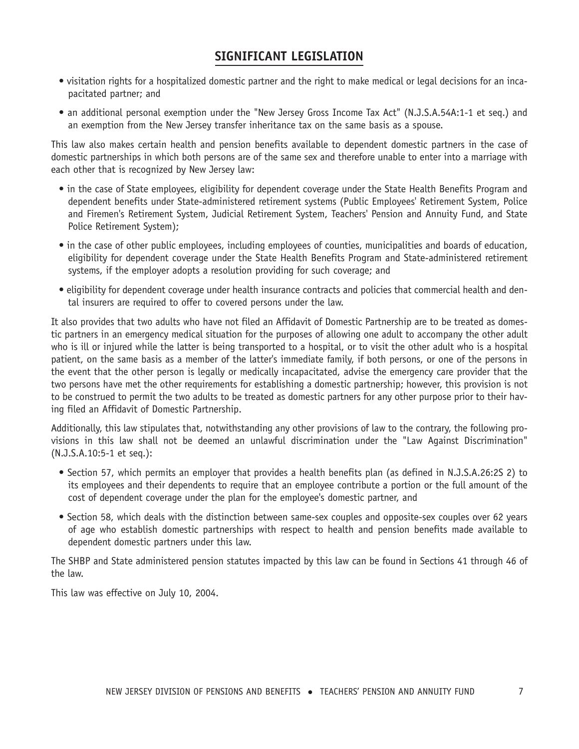- visitation rights for a hospitalized domestic partner and the right to make medical or legal decisions for an incapacitated partner; and
- an additional personal exemption under the "New Jersey Gross Income Tax Act" (N.J.S.A.54A:1-1 et seq.) and an exemption from the New Jersey transfer inheritance tax on the same basis as a spouse.

This law also makes certain health and pension benefits available to dependent domestic partners in the case of domestic partnerships in which both persons are of the same sex and therefore unable to enter into a marriage with each other that is recognized by New Jersey law:

- in the case of State employees, eligibility for dependent coverage under the State Health Benefits Program and dependent benefits under State-administered retirement systems (Public Employees' Retirement System, Police and Firemen's Retirement System, Judicial Retirement System, Teachers' Pension and Annuity Fund, and State Police Retirement System);
- in the case of other public employees, including employees of counties, municipalities and boards of education, eligibility for dependent coverage under the State Health Benefits Program and State-administered retirement systems, if the employer adopts a resolution providing for such coverage; and
- eligibility for dependent coverage under health insurance contracts and policies that commercial health and dental insurers are required to offer to covered persons under the law.

It also provides that two adults who have not filed an Affidavit of Domestic Partnership are to be treated as domestic partners in an emergency medical situation for the purposes of allowing one adult to accompany the other adult who is ill or injured while the latter is being transported to a hospital, or to visit the other adult who is a hospital patient, on the same basis as a member of the latter's immediate family, if both persons, or one of the persons in the event that the other person is legally or medically incapacitated, advise the emergency care provider that the two persons have met the other requirements for establishing a domestic partnership; however, this provision is not to be construed to permit the two adults to be treated as domestic partners for any other purpose prior to their having filed an Affidavit of Domestic Partnership.

Additionally, this law stipulates that, notwithstanding any other provisions of law to the contrary, the following provisions in this law shall not be deemed an unlawful discrimination under the "Law Against Discrimination" (N.J.S.A.10:5-1 et seq.):

- Section 57, which permits an employer that provides a health benefits plan (as defined in N.J.S.A.26:2S 2) to its employees and their dependents to require that an employee contribute a portion or the full amount of the cost of dependent coverage under the plan for the employee's domestic partner, and
- Section 58, which deals with the distinction between same-sex couples and opposite-sex couples over 62 years of age who establish domestic partnerships with respect to health and pension benefits made available to dependent domestic partners under this law.

The SHBP and State administered pension statutes impacted by this law can be found in Sections 41 through 46 of the law.

This law was effective on July 10, 2004.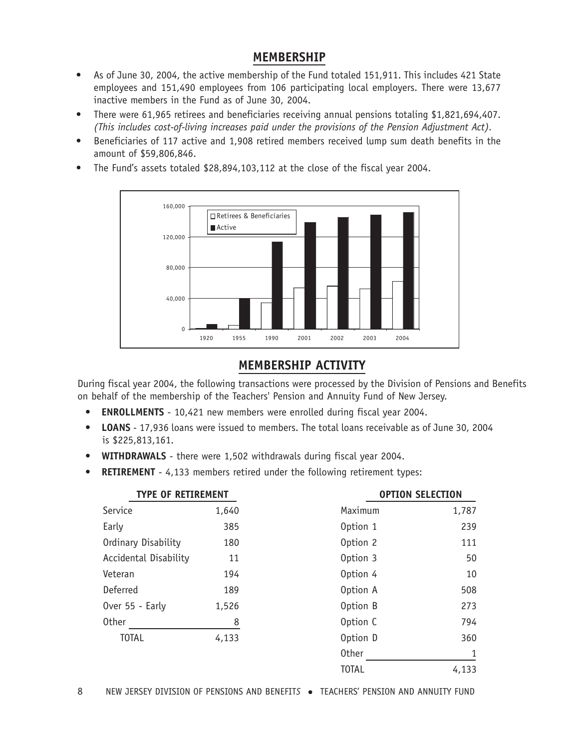# **MEMBERSHIP**

- As of June 30, 2004, the active membership of the Fund totaled 151,911. This includes 421 State employees and 151,490 employees from 106 participating local employers. There were 13,677 inactive members in the Fund as of June 30, 2004.
- There were 61,965 retirees and beneficiaries receiving annual pensions totaling \$1,821,694,407. *(This includes cost-of-living increases paid under the provisions of the Pension Adjustment Act).*
- Beneficiaries of 117 active and 1,908 retired members received lump sum death benefits in the amount of \$59,806,846.
- The Fund's assets totaled \$28,894,103,112 at the close of the fiscal year 2004.



# **MEMBERSHIP ACTIVITY**

During fiscal year 2004, the following transactions were processed by the Division of Pensions and Benefits on behalf of the membership of the Teachers' Pension and Annuity Fund of New Jersey.

- **ENROLLMENTS** 10,421 new members were enrolled during fiscal year 2004.
- **LOANS** 17,936 loans were issued to members. The total loans receivable as of June 30, 2004 is \$225,813,161.
- **WITHDRAWALS** there were 1,502 withdrawals during fiscal year 2004.
- **RETIREMENT** 4,133 members retired under the following retirement types:

| <b>TYPE OF RETIREMENT</b> |       |              | <b>OPTION SELECTION</b> |
|---------------------------|-------|--------------|-------------------------|
| Service                   | 1,640 | Maximum      | 1,787                   |
| Early                     | 385   | Option 1     | 239                     |
| Ordinary Disability       | 180   | Option 2     | 111                     |
| Accidental Disability     | 11    | Option 3     | 50                      |
| Veteran                   | 194   | Option 4     | 10                      |
| Deferred                  | 189   | Option A     | 508                     |
| Over 55 - Early           | 1,526 | Option B     | 273                     |
| <b>Other</b>              | 8     | Option C     | 794                     |
| <b>TOTAL</b>              | 4,133 | Option D     | 360                     |
|                           |       | <b>Other</b> | 1                       |
|                           |       | <b>TOTAL</b> | 4,133                   |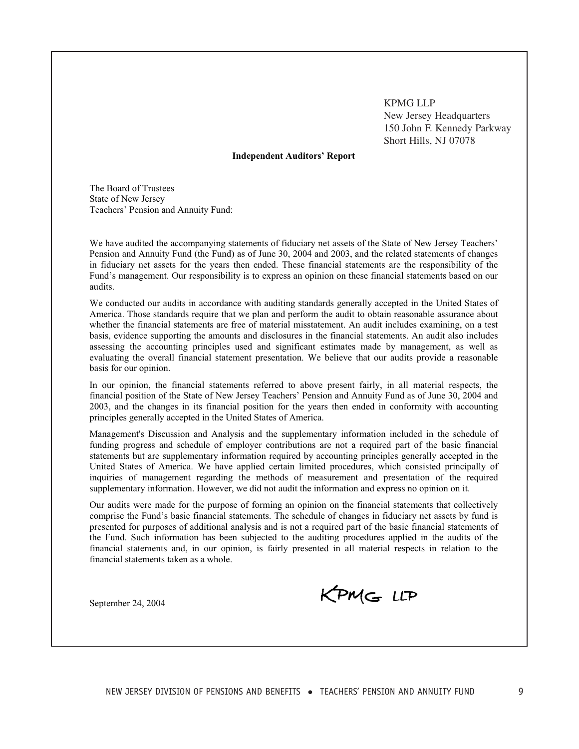KPMG LLP New Jersey Headquarters 150 John F. Kennedy Parkway Short Hills, NJ 07078

#### **Independent Auditors' Report**

The Board of Trustees State of New Jersey Teachers' Pension and Annuity Fund:

We have audited the accompanying statements of fiduciary net assets of the State of New Jersey Teachers' Pension and Annuity Fund (the Fund) as of June 30, 2004 and 2003, and the related statements of changes in fiduciary net assets for the years then ended. These financial statements are the responsibility of the Fund's management. Our responsibility is to express an opinion on these financial statements based on our audits.

We conducted our audits in accordance with auditing standards generally accepted in the United States of America. Those standards require that we plan and perform the audit to obtain reasonable assurance about whether the financial statements are free of material misstatement. An audit includes examining, on a test basis, evidence supporting the amounts and disclosures in the financial statements. An audit also includes assessing the accounting principles used and significant estimates made by management, as well as evaluating the overall financial statement presentation. We believe that our audits provide a reasonable basis for our opinion.

In our opinion, the financial statements referred to above present fairly, in all material respects, the financial position of the State of New Jersey Teachers' Pension and Annuity Fund as of June 30, 2004 and 2003, and the changes in its financial position for the years then ended in conformity with accounting principles generally accepted in the United States of America.

Management's Discussion and Analysis and the supplementary information included in the schedule of funding progress and schedule of employer contributions are not a required part of the basic financial statements but are supplementary information required by accounting principles generally accepted in the United States of America. We have applied certain limited procedures, which consisted principally of inquiries of management regarding the methods of measurement and presentation of the required supplementary information. However, we did not audit the information and express no opinion on it.

Our audits were made for the purpose of forming an opinion on the financial statements that collectively comprise the Fund's basic financial statements. The schedule of changes in fiduciary net assets by fund is presented for purposes of additional analysis and is not a required part of the basic financial statements of the Fund. Such information has been subjected to the auditing procedures applied in the audits of the financial statements and, in our opinion, is fairly presented in all material respects in relation to the financial statements taken as a whole.

September 24, 2004

KPMG LLP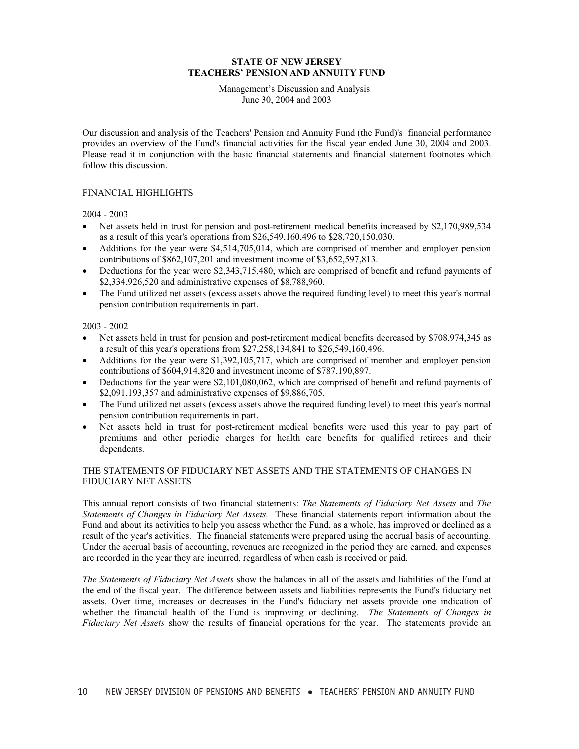Management's Discussion and Analysis June 30, 2004 and 2003

Our discussion and analysis of the Teachers' Pension and Annuity Fund (the Fund)'s financial performance provides an overview of the Fund's financial activities for the fiscal year ended June 30, 2004 and 2003. Please read it in conjunction with the basic financial statements and financial statement footnotes which follow this discussion.

#### FINANCIAL HIGHLIGHTS

2004 - 2003

- Net assets held in trust for pension and post-retirement medical benefits increased by \$2,170,989,534 as a result of this year's operations from \$26,549,160,496 to \$28,720,150,030.
- Additions for the year were \$4,514,705,014, which are comprised of member and employer pension contributions of \$862,107,201 and investment income of \$3,652,597,813.
- Deductions for the year were \$2,343,715,480, which are comprised of benefit and refund payments of \$2,334,926,520 and administrative expenses of \$8,788,960.
- The Fund utilized net assets (excess assets above the required funding level) to meet this year's normal pension contribution requirements in part.

2003 - 2002

- Net assets held in trust for pension and post-retirement medical benefits decreased by \$708,974,345 as a result of this year's operations from \$27,258,134,841 to \$26,549,160,496.
- Additions for the year were \$1,392,105,717, which are comprised of member and employer pension contributions of \$604,914,820 and investment income of \$787,190,897.
- $\bullet$  Deductions for the year were \$2,101,080,062, which are comprised of benefit and refund payments of \$2,091,193,357 and administrative expenses of \$9,886,705.
- The Fund utilized net assets (excess assets above the required funding level) to meet this year's normal pension contribution requirements in part.
- Net assets held in trust for post-retirement medical benefits were used this year to pay part of premiums and other periodic charges for health care benefits for qualified retirees and their dependents.

### THE STATEMENTS OF FIDUCIARY NET ASSETS AND THE STATEMENTS OF CHANGES IN FIDUCIARY NET ASSETS

This annual report consists of two financial statements: *The Statements of Fiduciary Net Assets* and *The Statements of Changes in Fiduciary Net Assets.* These financial statements report information about the Fund and about its activities to help you assess whether the Fund, as a whole, has improved or declined as a result of the year's activities. The financial statements were prepared using the accrual basis of accounting. Under the accrual basis of accounting, revenues are recognized in the period they are earned, and expenses are recorded in the year they are incurred, regardless of when cash is received or paid.

*The Statements of Fiduciary Net Assets* show the balances in all of the assets and liabilities of the Fund at the end of the fiscal year. The difference between assets and liabilities represents the Fund's fiduciary net assets. Over time, increases or decreases in the Fund's fiduciary net assets provide one indication of whether the financial health of the Fund is improving or declining. *The Statements of Changes in Fiduciary Net Assets* show the results of financial operations for the year. The statements provide an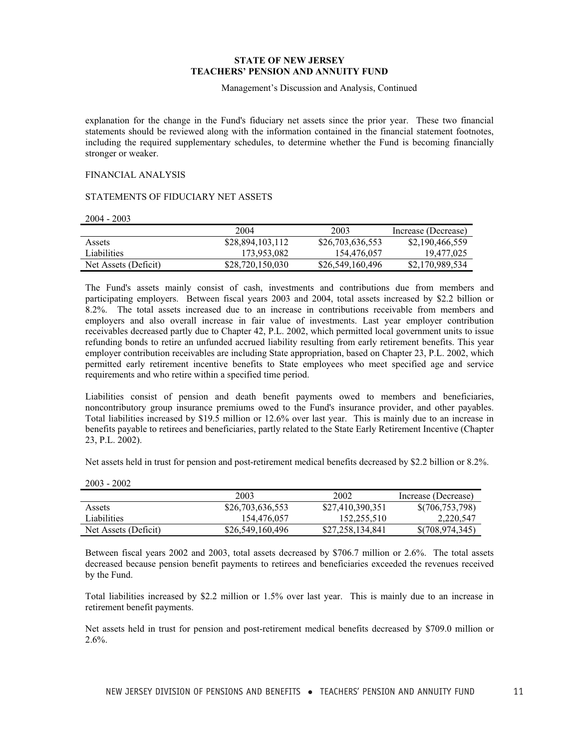Management's Discussion and Analysis, Continued

explanation for the change in the Fund's fiduciary net assets since the prior year. These two financial statements should be reviewed along with the information contained in the financial statement footnotes, including the required supplementary schedules, to determine whether the Fund is becoming financially stronger or weaker.

#### FINANCIAL ANALYSIS

#### STATEMENTS OF FIDUCIARY NET ASSETS

2004 - 2003

|                      | 2004             | 2003             | Increase (Decrease) |
|----------------------|------------------|------------------|---------------------|
| Assets               | \$28,894,103,112 | \$26,703,636,553 | \$2,190,466,559     |
| Liabilities          | 173,953,082      | 154,476,057      | 19.477.025          |
| Net Assets (Deficit) | \$28,720,150,030 | \$26,549,160,496 | \$2,170,989,534     |

The Fund's assets mainly consist of cash, investments and contributions due from members and participating employers. Between fiscal years 2003 and 2004, total assets increased by \$2.2 billion or 8.2%. The total assets increased due to an increase in contributions receivable from members and employers and also overall increase in fair value of investments. Last year employer contribution receivables decreased partly due to Chapter 42, P.L. 2002, which permitted local government units to issue refunding bonds to retire an unfunded accrued liability resulting from early retirement benefits. This year employer contribution receivables are including State appropriation, based on Chapter 23, P.L. 2002, which permitted early retirement incentive benefits to State employees who meet specified age and service requirements and who retire within a specified time period.

Liabilities consist of pension and death benefit payments owed to members and beneficiaries, noncontributory group insurance premiums owed to the Fund's insurance provider, and other payables. Total liabilities increased by \$19.5 million or 12.6% over last year. This is mainly due to an increase in benefits payable to retirees and beneficiaries, partly related to the State Early Retirement Incentive (Chapter 23, P.L. 2002).

Net assets held in trust for pension and post-retirement medical benefits decreased by \$2.2 billion or 8.2%.

|                      | 2003             | 2002             | Increase (Decrease) |
|----------------------|------------------|------------------|---------------------|
| Assets               | \$26,703,636,553 | \$27,410,390,351 | \$(706,753,798)     |
| Liabilities          | 154,476,057      | 152,255,510      | 2,220,547           |
| Net Assets (Deficit) | \$26,549,160,496 | \$27,258,134,841 | \$(708,974,345)     |

Between fiscal years 2002 and 2003, total assets decreased by \$706.7 million or 2.6%. The total assets decreased because pension benefit payments to retirees and beneficiaries exceeded the revenues received by the Fund.

Total liabilities increased by \$2.2 million or 1.5% over last year. This is mainly due to an increase in retirement benefit payments.

Net assets held in trust for pension and post-retirement medical benefits decreased by \$709.0 million or 2.6%.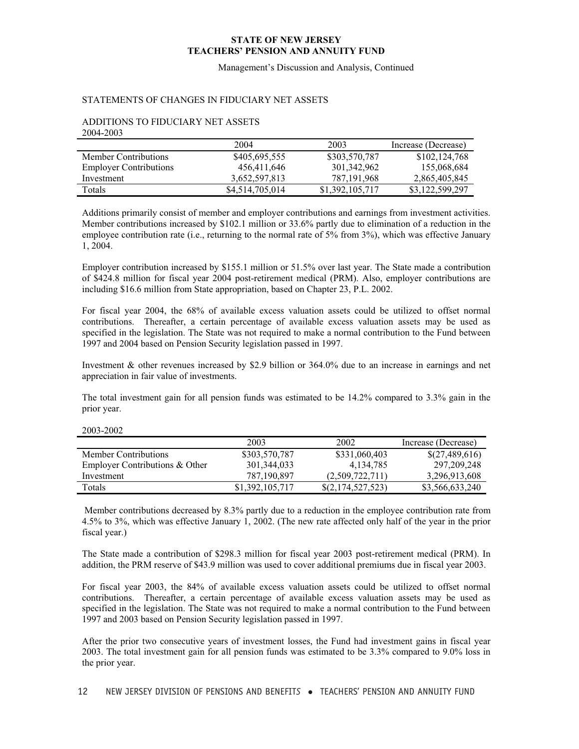Management's Discussion and Analysis, Continued

#### STATEMENTS OF CHANGES IN FIDUCIARY NET ASSETS

#### ADDITIONS TO FIDUCIARY NET ASSETS 2004-2003

|                               | 2004            | 2003            | Increase (Decrease) |
|-------------------------------|-----------------|-----------------|---------------------|
| <b>Member Contributions</b>   | \$405,695,555   | \$303,570,787   | \$102,124,768       |
| <b>Employer Contributions</b> | 456,411,646     | 301,342,962     | 155,068,684         |
| Investment                    | 3,652,597,813   | 787, 191, 968   | 2,865,405,845       |
| Totals                        | \$4,514,705,014 | \$1,392,105,717 | \$3,122,599,297     |

Additions primarily consist of member and employer contributions and earnings from investment activities. Member contributions increased by \$102.1 million or 33.6% partly due to elimination of a reduction in the employee contribution rate (i.e., returning to the normal rate of 5% from 3%), which was effective January 1, 2004.

Employer contribution increased by \$155.1 million or 51.5% over last year. The State made a contribution of \$424.8 million for fiscal year 2004 post-retirement medical (PRM). Also, employer contributions are including \$16.6 million from State appropriation, based on Chapter 23, P.L. 2002.

For fiscal year 2004, the 68% of available excess valuation assets could be utilized to offset normal contributions. Thereafter, a certain percentage of available excess valuation assets may be used as specified in the legislation. The State was not required to make a normal contribution to the Fund between 1997 and 2004 based on Pension Security legislation passed in 1997.

Investment & other revenues increased by \$2.9 billion or 364.0% due to an increase in earnings and net appreciation in fair value of investments.

The total investment gain for all pension funds was estimated to be 14.2% compared to 3.3% gain in the prior year.

|                                | 2003            | 2002                | Increase (Decrease) |
|--------------------------------|-----------------|---------------------|---------------------|
| Member Contributions           | \$303,570,787   | \$331,060,403       | \$(27,489,616)      |
| Employer Contributions & Other | 301, 344, 033   | 4.134.785           | 297, 209, 248       |
| Investment                     | 787,190,897     | (2,509,722,711)     | 3,296,913,608       |
| Totals                         | \$1,392,105,717 | $\S(2,174,527,523)$ | \$3,566,633,240     |

#### 2003-2002

Member contributions decreased by 8.3% partly due to a reduction in the employee contribution rate from 4.5% to 3%, which was effective January 1, 2002. (The new rate affected only half of the year in the prior fiscal year.)

The State made a contribution of \$298.3 million for fiscal year 2003 post-retirement medical (PRM). In addition, the PRM reserve of \$43.9 million was used to cover additional premiums due in fiscal year 2003.

For fiscal year 2003, the 84% of available excess valuation assets could be utilized to offset normal contributions. Thereafter, a certain percentage of available excess valuation assets may be used as specified in the legislation. The State was not required to make a normal contribution to the Fund between 1997 and 2003 based on Pension Security legislation passed in 1997.

After the prior two consecutive years of investment losses, the Fund had investment gains in fiscal year 2003. The total investment gain for all pension funds was estimated to be 3.3% compared to 9.0% loss in the prior year.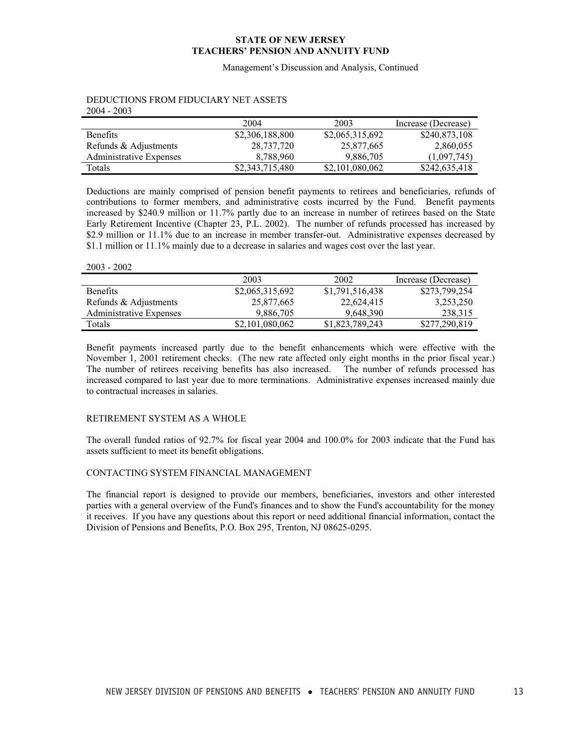Management's Discussion and Analysis, Continued

|                         | 2004            | 2003            | Increase (Decrease) |
|-------------------------|-----------------|-----------------|---------------------|
| <b>Benefits</b>         | \$2,306,188,800 | \$2,065,315,692 | \$240,873,108       |
| Refunds & Adjustments   | 28,737,720      | 25,877,665      | 2,860,055           |
| Administrative Expenses | 8.788.960       | 9.886.705       | (1.097.745)         |
| Totals                  | \$2,343,715,480 | \$2,101,080,062 | \$242,635,418       |

#### DEDUCTIONS FROM FIDUCIARY NET ASSETS 2004 - 2003

Deductions are mainly comprised of pension benefit payments to retirees and beneficiaries, refunds of contributions to former members, and administrative costs incurred by the Fund. Benefit payments increased by \$240.9 million or 11.7% partly due to an increase in number of retirees based on the State Early Retirement Incentive (Chapter 23, P.L. 2002). The number of refunds processed has increased by \$2.9 million or 11.1% due to an increase in member transfer-out. Administrative expenses decreased by \$1.1 million or 11.1% mainly due to a decrease in salaries and wages cost over the last year.

#### 2003 - 2002

|                         | 2003            | 2002            | Increase (Decrease) |
|-------------------------|-----------------|-----------------|---------------------|
| <b>Benefits</b>         | \$2,065,315,692 | \$1,791,516,438 | \$273,799,254       |
| Refunds & Adjustments   | 25,877,665      | 22,624,415      | 3,253,250           |
| Administrative Expenses | 9.886.705       | 9.648.390       | 238,315             |
| Totals                  | \$2,101,080,062 | \$1,823,789,243 | \$277,290,819       |

Benefit payments increased partly due to the benefit enhancements which were effective with the November 1, 2001 retirement checks. (The new rate affected only eight months in the prior fiscal year.) The number of retirees receiving benefits has also increased. The number of refunds processed has increased compared to last year due to more terminations. Administrative expenses increased mainly due to contractual increases in salaries.

#### RETIREMENT SYSTEM AS A WHOLE

The overall funded ratios of 92.7% for fiscal year 2004 and 100.0% for 2003 indicate that the Fund has assets sufficient to meet its benefit obligations.

### CONTACTING SYSTEM FINANCIAL MANAGEMENT

The financial report is designed to provide our members, beneficiaries, investors and other interested parties with a general overview of the Fund's finances and to show the Fund's accountability for the money it receives. If you have any questions about this report or need additional financial information, contact the Division of Pensions and Benefits, P.O. Box 295, Trenton, NJ 08625-0295.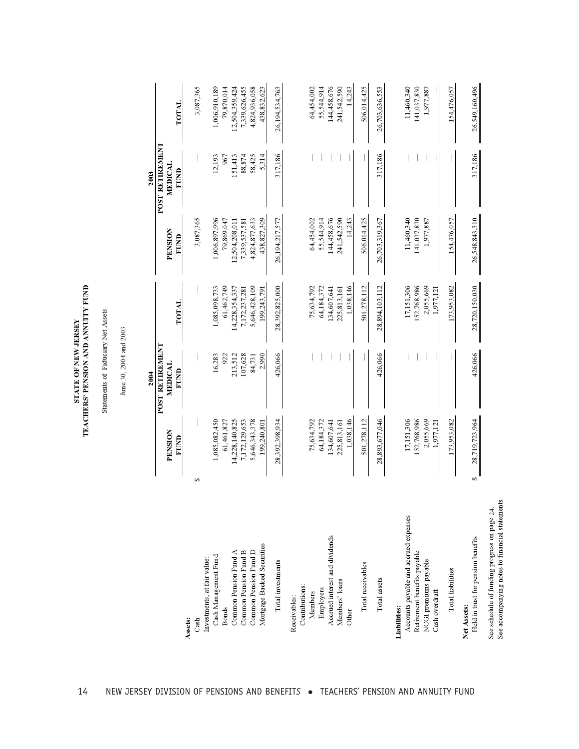| <b>STATE OF NEW JERSEY</b> | EACHERS' PENSION AND ANNUITY FU |
|----------------------------|---------------------------------|

| <b>POST-RETIREMENT</b><br>317,186<br>88,874<br>5,314<br>317,186<br>317,186<br>12,193<br>151,413<br>58,425<br>967<br><b>MEDICAL</b><br>FUND<br>2003<br>26,548,843,310<br>438,827,309<br>55,544,914<br>144,458,676<br>141,037,830<br>3,087,365<br>1,006,897,996<br>4,824,877,633<br>26,194,217,577<br>64,454,002<br>241,542,590<br>14,243<br>506,014,425<br>11,460,340<br>1,977,887<br>79,869,047<br>12,504,208,011<br>26,703,319,367<br>154,476,057<br>7,339,537,581<br>PENSION<br>FUND<br>5,646,428,109<br>28,392,825,000<br>1,038,146<br>501,278,112<br>28,894,103,112<br>152,768,986<br>2,055,669<br>173,953,082<br>28,720,150,030<br>1,085,098,733<br>61,462,749<br>14,228,354,337<br>17,151,306<br>7,172,237,281<br>75,634,792<br>64,184,372<br>134,607,641<br>225,813,161<br>1,977,121<br>199,243,791<br>TOTAL<br>June 30, 2004 and 2003<br><b>LNANAHLAN-LSOJ</b><br>426,066<br>426,066<br>426,066<br>107,628<br>2,990<br>16,283<br>213,512<br>922<br>84,731<br><b>MEDICAL</b><br>FUND<br>2004<br>1,085,082,450<br>7,172,129,653<br>5,646,343,378<br>1,038,146<br>501,278,112<br>28,893,677,046<br>17,151,306<br>152,768,986<br>2,055,669<br>28,719,723,964<br>14,228,140,825<br>28,392,398,934<br>64,184,372<br>173,953,082<br>75,634,792<br>134,607,641<br>199,240,801<br>61,461,827<br>225,813,161<br>1,977,121<br>PENSION<br>EUND<br>s,<br>↮<br>Accounts payable and accrued expenses<br>Accrued interest and dividends<br>Held in trust for pension benefits<br>Mortgage Backed Securities<br>Common Pension Fund D<br>Common Pension Fund A<br>Common Pension Fund B<br>Retirement benefits payable<br>Cash Management Fund<br>Investments, at fair value:<br>NCGI premiums payable<br>Total investments<br>Total receivables<br><b>Total liabilities</b><br>Total assets<br>Members' loans<br>Contributions:<br>Employers<br>Cash overdraft<br>Members<br>Receivables:<br>Net Assets:<br><b>Liabilities:</b><br><b>Bonds</b><br>Other<br>Assets:<br>Cash |  | Statements of Fiduciary Net Assets |  |                              |
|----------------------------------------------------------------------------------------------------------------------------------------------------------------------------------------------------------------------------------------------------------------------------------------------------------------------------------------------------------------------------------------------------------------------------------------------------------------------------------------------------------------------------------------------------------------------------------------------------------------------------------------------------------------------------------------------------------------------------------------------------------------------------------------------------------------------------------------------------------------------------------------------------------------------------------------------------------------------------------------------------------------------------------------------------------------------------------------------------------------------------------------------------------------------------------------------------------------------------------------------------------------------------------------------------------------------------------------------------------------------------------------------------------------------------------------------------------------------------------------------------------------------------------------------------------------------------------------------------------------------------------------------------------------------------------------------------------------------------------------------------------------------------------------------------------------------------------------------------------------------------------------------------------------------------------------------------------------------|--|------------------------------------|--|------------------------------|
|                                                                                                                                                                                                                                                                                                                                                                                                                                                                                                                                                                                                                                                                                                                                                                                                                                                                                                                                                                                                                                                                                                                                                                                                                                                                                                                                                                                                                                                                                                                                                                                                                                                                                                                                                                                                                                                                                                                                                                      |  |                                    |  |                              |
|                                                                                                                                                                                                                                                                                                                                                                                                                                                                                                                                                                                                                                                                                                                                                                                                                                                                                                                                                                                                                                                                                                                                                                                                                                                                                                                                                                                                                                                                                                                                                                                                                                                                                                                                                                                                                                                                                                                                                                      |  |                                    |  |                              |
|                                                                                                                                                                                                                                                                                                                                                                                                                                                                                                                                                                                                                                                                                                                                                                                                                                                                                                                                                                                                                                                                                                                                                                                                                                                                                                                                                                                                                                                                                                                                                                                                                                                                                                                                                                                                                                                                                                                                                                      |  |                                    |  |                              |
|                                                                                                                                                                                                                                                                                                                                                                                                                                                                                                                                                                                                                                                                                                                                                                                                                                                                                                                                                                                                                                                                                                                                                                                                                                                                                                                                                                                                                                                                                                                                                                                                                                                                                                                                                                                                                                                                                                                                                                      |  |                                    |  | TOTAL                        |
|                                                                                                                                                                                                                                                                                                                                                                                                                                                                                                                                                                                                                                                                                                                                                                                                                                                                                                                                                                                                                                                                                                                                                                                                                                                                                                                                                                                                                                                                                                                                                                                                                                                                                                                                                                                                                                                                                                                                                                      |  |                                    |  | 3,087,365                    |
|                                                                                                                                                                                                                                                                                                                                                                                                                                                                                                                                                                                                                                                                                                                                                                                                                                                                                                                                                                                                                                                                                                                                                                                                                                                                                                                                                                                                                                                                                                                                                                                                                                                                                                                                                                                                                                                                                                                                                                      |  |                                    |  | 1,006,910,189                |
|                                                                                                                                                                                                                                                                                                                                                                                                                                                                                                                                                                                                                                                                                                                                                                                                                                                                                                                                                                                                                                                                                                                                                                                                                                                                                                                                                                                                                                                                                                                                                                                                                                                                                                                                                                                                                                                                                                                                                                      |  |                                    |  | 79,870,014                   |
|                                                                                                                                                                                                                                                                                                                                                                                                                                                                                                                                                                                                                                                                                                                                                                                                                                                                                                                                                                                                                                                                                                                                                                                                                                                                                                                                                                                                                                                                                                                                                                                                                                                                                                                                                                                                                                                                                                                                                                      |  |                                    |  | 12,504,359,424               |
|                                                                                                                                                                                                                                                                                                                                                                                                                                                                                                                                                                                                                                                                                                                                                                                                                                                                                                                                                                                                                                                                                                                                                                                                                                                                                                                                                                                                                                                                                                                                                                                                                                                                                                                                                                                                                                                                                                                                                                      |  |                                    |  | 7,339,626,455                |
|                                                                                                                                                                                                                                                                                                                                                                                                                                                                                                                                                                                                                                                                                                                                                                                                                                                                                                                                                                                                                                                                                                                                                                                                                                                                                                                                                                                                                                                                                                                                                                                                                                                                                                                                                                                                                                                                                                                                                                      |  |                                    |  | 4,824,936,058<br>438,832,623 |
|                                                                                                                                                                                                                                                                                                                                                                                                                                                                                                                                                                                                                                                                                                                                                                                                                                                                                                                                                                                                                                                                                                                                                                                                                                                                                                                                                                                                                                                                                                                                                                                                                                                                                                                                                                                                                                                                                                                                                                      |  |                                    |  | 26,194,534,763               |
|                                                                                                                                                                                                                                                                                                                                                                                                                                                                                                                                                                                                                                                                                                                                                                                                                                                                                                                                                                                                                                                                                                                                                                                                                                                                                                                                                                                                                                                                                                                                                                                                                                                                                                                                                                                                                                                                                                                                                                      |  |                                    |  |                              |
|                                                                                                                                                                                                                                                                                                                                                                                                                                                                                                                                                                                                                                                                                                                                                                                                                                                                                                                                                                                                                                                                                                                                                                                                                                                                                                                                                                                                                                                                                                                                                                                                                                                                                                                                                                                                                                                                                                                                                                      |  |                                    |  | 64,454,002                   |
|                                                                                                                                                                                                                                                                                                                                                                                                                                                                                                                                                                                                                                                                                                                                                                                                                                                                                                                                                                                                                                                                                                                                                                                                                                                                                                                                                                                                                                                                                                                                                                                                                                                                                                                                                                                                                                                                                                                                                                      |  |                                    |  | 55,544,914<br>144,458,676    |
|                                                                                                                                                                                                                                                                                                                                                                                                                                                                                                                                                                                                                                                                                                                                                                                                                                                                                                                                                                                                                                                                                                                                                                                                                                                                                                                                                                                                                                                                                                                                                                                                                                                                                                                                                                                                                                                                                                                                                                      |  |                                    |  | 241,542,590                  |
|                                                                                                                                                                                                                                                                                                                                                                                                                                                                                                                                                                                                                                                                                                                                                                                                                                                                                                                                                                                                                                                                                                                                                                                                                                                                                                                                                                                                                                                                                                                                                                                                                                                                                                                                                                                                                                                                                                                                                                      |  |                                    |  | 14,243                       |
|                                                                                                                                                                                                                                                                                                                                                                                                                                                                                                                                                                                                                                                                                                                                                                                                                                                                                                                                                                                                                                                                                                                                                                                                                                                                                                                                                                                                                                                                                                                                                                                                                                                                                                                                                                                                                                                                                                                                                                      |  |                                    |  | 506,014,425                  |
|                                                                                                                                                                                                                                                                                                                                                                                                                                                                                                                                                                                                                                                                                                                                                                                                                                                                                                                                                                                                                                                                                                                                                                                                                                                                                                                                                                                                                                                                                                                                                                                                                                                                                                                                                                                                                                                                                                                                                                      |  |                                    |  | 26,703,636,553               |
|                                                                                                                                                                                                                                                                                                                                                                                                                                                                                                                                                                                                                                                                                                                                                                                                                                                                                                                                                                                                                                                                                                                                                                                                                                                                                                                                                                                                                                                                                                                                                                                                                                                                                                                                                                                                                                                                                                                                                                      |  |                                    |  | 11,460,340                   |
|                                                                                                                                                                                                                                                                                                                                                                                                                                                                                                                                                                                                                                                                                                                                                                                                                                                                                                                                                                                                                                                                                                                                                                                                                                                                                                                                                                                                                                                                                                                                                                                                                                                                                                                                                                                                                                                                                                                                                                      |  |                                    |  | 141,037,830                  |
|                                                                                                                                                                                                                                                                                                                                                                                                                                                                                                                                                                                                                                                                                                                                                                                                                                                                                                                                                                                                                                                                                                                                                                                                                                                                                                                                                                                                                                                                                                                                                                                                                                                                                                                                                                                                                                                                                                                                                                      |  |                                    |  | 1,977,887                    |
|                                                                                                                                                                                                                                                                                                                                                                                                                                                                                                                                                                                                                                                                                                                                                                                                                                                                                                                                                                                                                                                                                                                                                                                                                                                                                                                                                                                                                                                                                                                                                                                                                                                                                                                                                                                                                                                                                                                                                                      |  |                                    |  | 154,476,057                  |
|                                                                                                                                                                                                                                                                                                                                                                                                                                                                                                                                                                                                                                                                                                                                                                                                                                                                                                                                                                                                                                                                                                                                                                                                                                                                                                                                                                                                                                                                                                                                                                                                                                                                                                                                                                                                                                                                                                                                                                      |  |                                    |  | 26,549,160,496               |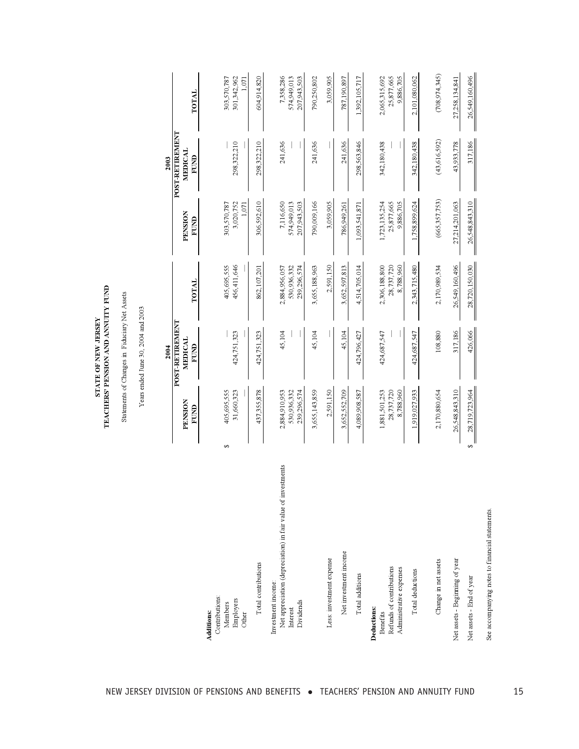Statements of Changes in Fiduciary Net Assets Statements of Changes in Fiduciary Net Assets

Years ended June 30, 2004 and 2003  $\,$ Years ended June 30, 2004 and 2003

|                                                                                                             |           |                                             | 2004                   |                                             |                                          | 2003                   |                                          |
|-------------------------------------------------------------------------------------------------------------|-----------|---------------------------------------------|------------------------|---------------------------------------------|------------------------------------------|------------------------|------------------------------------------|
|                                                                                                             |           |                                             | <b>POST-RETIREMENT</b> |                                             |                                          | <b>POST-RETIREMENT</b> |                                          |
|                                                                                                             |           | PENSION<br>FUND                             | MEDICAL<br>FUND        | TOTAL                                       | PENSION<br>FUND                          | MEDICAL<br>FUND        | TOTAL                                    |
| Contributions:<br>Employers<br>Members<br><b>Additions:</b><br>Other                                        | $\bullet$ | 405,695,555<br>31,660,323                   | 424,751,323            | 456,411,646<br>405,695,555                  | 3,020,752<br>303,570,787<br>1,071        | 298,322,210            | 301,342,962<br>303,570,787<br>1,071      |
| Total contributions                                                                                         |           | 437,355,878                                 | 424,751,323            | 862,107,201                                 | 306,592,610                              | 298,322,210            | 604,914,820                              |
| Net appreciation (depreciation) in fair value of investments<br>Investment income:<br>Dividends<br>Interest |           | 2,884,910,953<br>530,936,332<br>239,296,574 | 45,104                 | 530,936,332<br>2,884,956,057<br>239,296,574 | 7,116,650<br>574,949,013<br>207,943,503  | 241,636                | 7,358,286<br>574,949,013<br>207,943,503  |
|                                                                                                             |           | 3,655,143,859                               | 45,104                 | 3,655,188,963                               | 790,009,166                              | 241,636                | 790,250,802                              |
| Less: investment expense                                                                                    |           | 2,591,150                                   |                        | 2,591,150                                   | 3,059,905                                |                        | 3,059,905                                |
| Net investment income                                                                                       |           | 3,652,552,709                               | 45,104                 | 3,652,597,813                               | 786,949,261                              | 241,636                | 787,190,897                              |
| Total additions                                                                                             |           | 4,089,908,587                               | 424,796,427            | 4,514,705,014                               | 1,093,541,871                            | 298,563,846            | 1,392,105,717                            |
| Refunds of contributions<br>Administrative expenses<br>Deductions:<br>Benefits                              |           | 8,788,960<br>1,881,501,253<br>28,737,720    | 424,687,547            | 2,306,188,800<br>28,737,720<br>8,788,960    | 1,723,135,254<br>25,877,665<br>9,886,705 | 342,180,438            | 2,065,315,692<br>25,877,665<br>9,886,705 |
| Total deductions                                                                                            |           | 1,919,027,933                               | 424,687,547            | 2,343,715,480                               | 1,758,899,624                            | 342, 180, 438          | 2,101,080,062                            |
| Change in net assets                                                                                        |           | 2,170,880,654                               | 108,880                | 2,170,989,534                               | (665, 357, 753)                          | (43, 616, 592)         | (708, 974, 345)                          |
| Net assets - Beginning of year                                                                              |           | 26,548,843,310                              | 317,186                | 26,549,160,496                              | 27,214,201,063                           | 43,933,778             | 27,258,134,841                           |
| Net assets - End of year                                                                                    | s,        | 28,719,723,964                              | 426,066                | 28,720,150,030                              | 26,548,843,310                           | 317,186                | 26,549,160,496                           |

See accompanying notes to financial statements.

See accompanying notes to financial statements.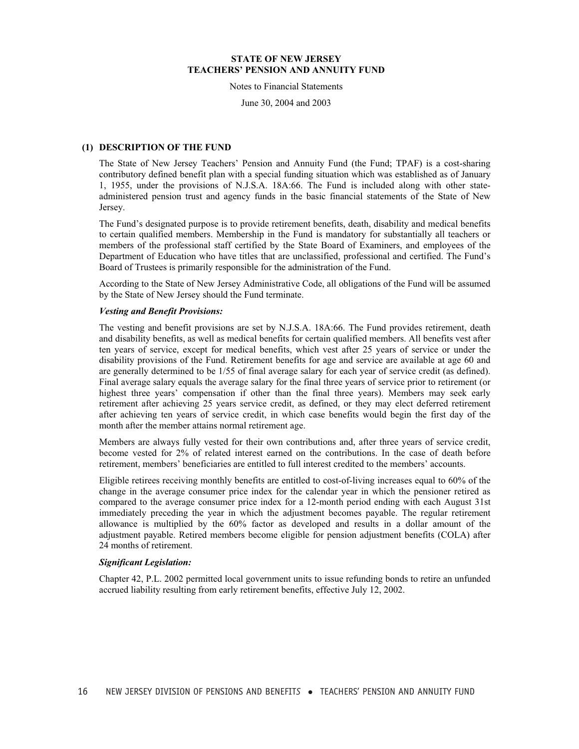Notes to Financial Statements

June 30, 2004 and 2003

#### **(1) DESCRIPTION OF THE FUND**

The State of New Jersey Teachers' Pension and Annuity Fund (the Fund; TPAF) is a cost-sharing contributory defined benefit plan with a special funding situation which was established as of January 1, 1955, under the provisions of N.J.S.A. 18A:66. The Fund is included along with other stateadministered pension trust and agency funds in the basic financial statements of the State of New Jersey.

The Fund's designated purpose is to provide retirement benefits, death, disability and medical benefits to certain qualified members. Membership in the Fund is mandatory for substantially all teachers or members of the professional staff certified by the State Board of Examiners, and employees of the Department of Education who have titles that are unclassified, professional and certified. The Fund's Board of Trustees is primarily responsible for the administration of the Fund.

According to the State of New Jersey Administrative Code, all obligations of the Fund will be assumed by the State of New Jersey should the Fund terminate.

#### *Vesting and Benefit Provisions:*

The vesting and benefit provisions are set by N.J.S.A. 18A:66. The Fund provides retirement, death and disability benefits, as well as medical benefits for certain qualified members. All benefits vest after ten years of service, except for medical benefits, which vest after 25 years of service or under the disability provisions of the Fund. Retirement benefits for age and service are available at age 60 and are generally determined to be 1/55 of final average salary for each year of service credit (as defined). Final average salary equals the average salary for the final three years of service prior to retirement (or highest three years' compensation if other than the final three years). Members may seek early retirement after achieving 25 years service credit, as defined, or they may elect deferred retirement after achieving ten years of service credit, in which case benefits would begin the first day of the month after the member attains normal retirement age.

Members are always fully vested for their own contributions and, after three years of service credit, become vested for 2% of related interest earned on the contributions. In the case of death before retirement, members' beneficiaries are entitled to full interest credited to the members' accounts.

Eligible retirees receiving monthly benefits are entitled to cost-of-living increases equal to 60% of the change in the average consumer price index for the calendar year in which the pensioner retired as compared to the average consumer price index for a 12-month period ending with each August 31st immediately preceding the year in which the adjustment becomes payable. The regular retirement allowance is multiplied by the 60% factor as developed and results in a dollar amount of the adjustment payable. Retired members become eligible for pension adjustment benefits (COLA) after 24 months of retirement.

#### *Significant Legislation:*

Chapter 42, P.L. 2002 permitted local government units to issue refunding bonds to retire an unfunded accrued liability resulting from early retirement benefits, effective July 12, 2002.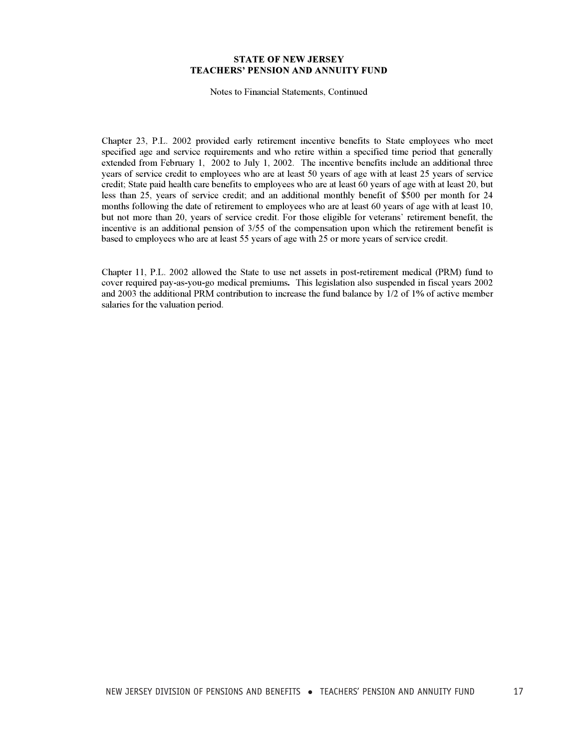Notes to Financial Statements, Continued

Chapter 23, P.L. 2002 provided early retirement incentive benefits to State employees who meet specified age and service requirements and who retire within a specified time period that generally extended from February 1, 2002 to July 1, 2002. The incentive benefits include an additional three years of service credit to employees who are at least 50 years of age with at least 25 years of service credit; State paid health care benefits to employees who are at least 60 years of age with at least 20, but less than 25, years of service credit; and an additional monthly benefit of \$500 per month for 24 months following the date of retirement to employees who are at least 60 years of age with at least 10, but not more than 20, years of service credit. For those eligible for veterans' retirement benefit, the incentive is an additional pension of 3/55 of the compensation upon which the retirement benefit is based to employees who are at least 55 years of age with 25 or more years of service credit.

Chapter 11, P.L. 2002 allowed the State to use net assets in post-retirement medical (PRM) fund to cover required pay-as-you-go medical premiums**.** This legislation also suspended in fiscal years 2002 and 2003 the additional PRM contribution to increase the fund balance by 1/2 of 1% of active member salaries for the valuation period.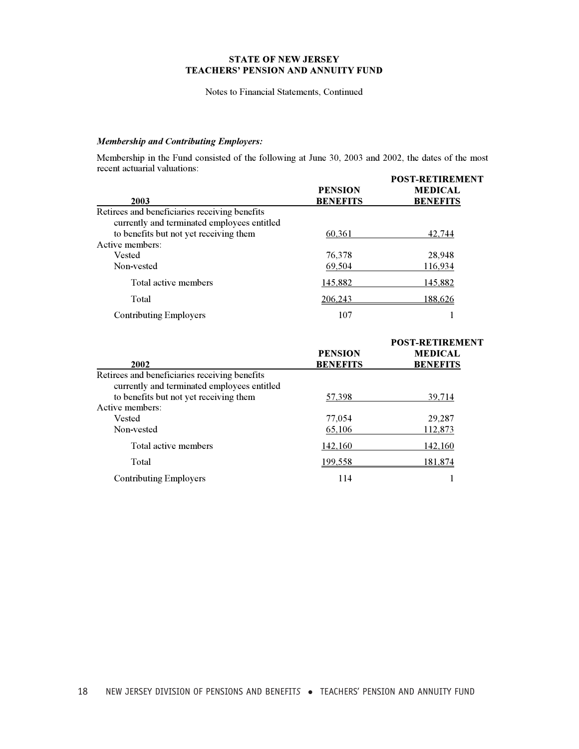#### Notes to Financial Statements, Continued

### *Membership and Contributing Employers:*

Membership in the Fund consisted of the following at June 30, 2003 and 2002, the dates of the most recent actuarial valuations:

| <b>PENSION</b><br><b>BENEFITS</b> | <b>POST-RETIREMENT</b><br><b>MEDICAL</b><br><b>BENEFITS</b> |
|-----------------------------------|-------------------------------------------------------------|
|                                   |                                                             |
|                                   |                                                             |
| 60.361                            | 42,744                                                      |
|                                   |                                                             |
| 76,378                            | 28,948                                                      |
| 69.504                            | 116,934                                                     |
| 145,882                           | 145,882                                                     |
| 206.243                           | 188.626                                                     |
| 107                               |                                                             |
|                                   |                                                             |

| <b>PENSION</b><br><b>BENEFITS</b> | <b>POST-RETIREMENT</b><br><b>MEDICAL</b><br><b>BENEFITS</b> |
|-----------------------------------|-------------------------------------------------------------|
|                                   |                                                             |
|                                   |                                                             |
| 57,398                            | 39,714                                                      |
|                                   |                                                             |
| 77,054                            | 29,287                                                      |
| 65,106                            | 112,873                                                     |
| 142,160                           | 142,160                                                     |
| 199,558                           | 181.874                                                     |
| 114                               |                                                             |
|                                   |                                                             |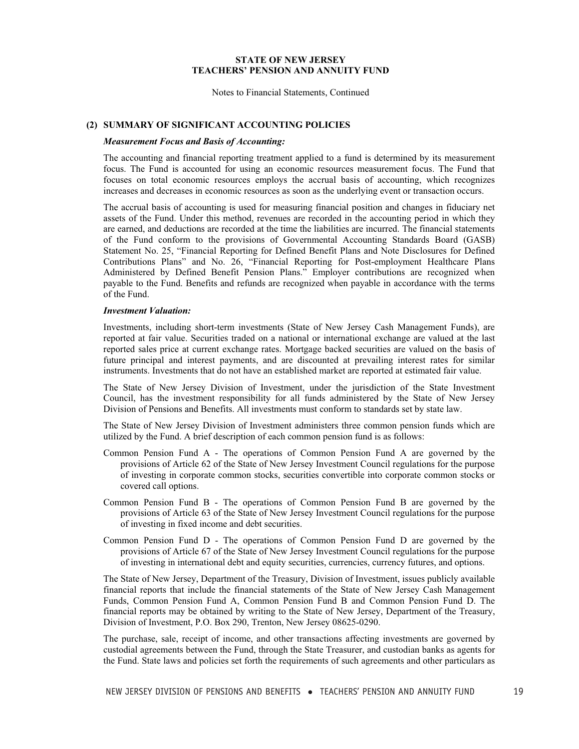Notes to Financial Statements, Continued

#### **(2) SUMMARY OF SIGNIFICANT ACCOUNTING POLICIES**

#### *Measurement Focus and Basis of Accounting:*

The accounting and financial reporting treatment applied to a fund is determined by its measurement focus. The Fund is accounted for using an economic resources measurement focus. The Fund that focuses on total economic resources employs the accrual basis of accounting, which recognizes increases and decreases in economic resources as soon as the underlying event or transaction occurs.

The accrual basis of accounting is used for measuring financial position and changes in fiduciary net assets of the Fund. Under this method, revenues are recorded in the accounting period in which they are earned, and deductions are recorded at the time the liabilities are incurred. The financial statements of the Fund conform to the provisions of Governmental Accounting Standards Board (GASB) Statement No. 25, "Financial Reporting for Defined Benefit Plans and Note Disclosures for Defined Contributions Plans" and No. 26, "Financial Reporting for Post-employment Healthcare Plans Administered by Defined Benefit Pension Plans." Employer contributions are recognized when payable to the Fund. Benefits and refunds are recognized when payable in accordance with the terms of the Fund.

#### *Investment Valuation:*

Investments, including short-term investments (State of New Jersey Cash Management Funds), are reported at fair value. Securities traded on a national or international exchange are valued at the last reported sales price at current exchange rates. Mortgage backed securities are valued on the basis of future principal and interest payments, and are discounted at prevailing interest rates for similar instruments. Investments that do not have an established market are reported at estimated fair value.

The State of New Jersey Division of Investment, under the jurisdiction of the State Investment Council, has the investment responsibility for all funds administered by the State of New Jersey Division of Pensions and Benefits. All investments must conform to standards set by state law.

The State of New Jersey Division of Investment administers three common pension funds which are utilized by the Fund. A brief description of each common pension fund is as follows:

- Common Pension Fund A The operations of Common Pension Fund A are governed by the provisions of Article 62 of the State of New Jersey Investment Council regulations for the purpose of investing in corporate common stocks, securities convertible into corporate common stocks or covered call options.
- Common Pension Fund B The operations of Common Pension Fund B are governed by the provisions of Article 63 of the State of New Jersey Investment Council regulations for the purpose of investing in fixed income and debt securities.
- Common Pension Fund D The operations of Common Pension Fund D are governed by the provisions of Article 67 of the State of New Jersey Investment Council regulations for the purpose of investing in international debt and equity securities, currencies, currency futures, and options.

The State of New Jersey, Department of the Treasury, Division of Investment, issues publicly available financial reports that include the financial statements of the State of New Jersey Cash Management Funds, Common Pension Fund A, Common Pension Fund B and Common Pension Fund D. The financial reports may be obtained by writing to the State of New Jersey, Department of the Treasury, Division of Investment, P.O. Box 290, Trenton, New Jersey 08625-0290.

The purchase, sale, receipt of income, and other transactions affecting investments are governed by custodial agreements between the Fund, through the State Treasurer, and custodian banks as agents for the Fund. State laws and policies set forth the requirements of such agreements and other particulars as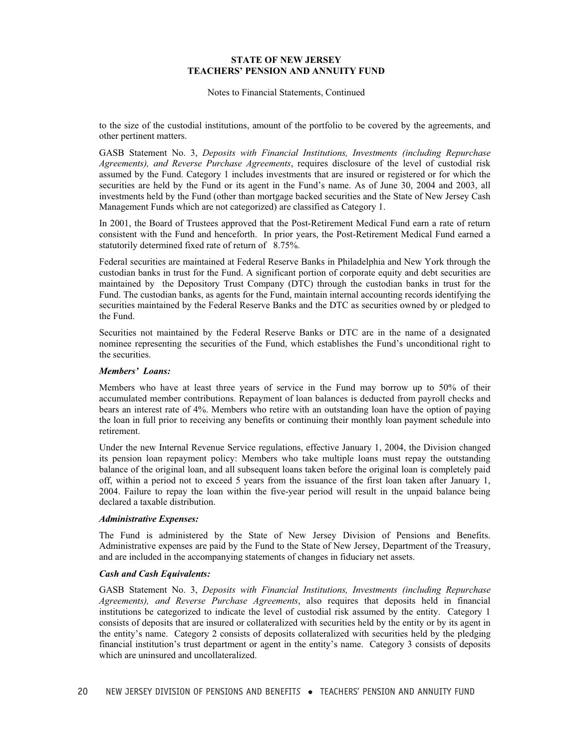Notes to Financial Statements, Continued

to the size of the custodial institutions, amount of the portfolio to be covered by the agreements, and other pertinent matters.

GASB Statement No. 3, *Deposits with Financial Institutions, Investments (including Repurchase Agreements), and Reverse Purchase Agreements*, requires disclosure of the level of custodial risk assumed by the Fund. Category 1 includes investments that are insured or registered or for which the securities are held by the Fund or its agent in the Fund's name. As of June 30, 2004 and 2003, all investments held by the Fund (other than mortgage backed securities and the State of New Jersey Cash Management Funds which are not categorized) are classified as Category 1.

In 2001, the Board of Trustees approved that the Post-Retirement Medical Fund earn a rate of return consistent with the Fund and henceforth. In prior years, the Post-Retirement Medical Fund earned a statutorily determined fixed rate of return of 8.75%.

Federal securities are maintained at Federal Reserve Banks in Philadelphia and New York through the custodian banks in trust for the Fund. A significant portion of corporate equity and debt securities are maintained by the Depository Trust Company (DTC) through the custodian banks in trust for the Fund. The custodian banks, as agents for the Fund, maintain internal accounting records identifying the securities maintained by the Federal Reserve Banks and the DTC as securities owned by or pledged to the Fund.

Securities not maintained by the Federal Reserve Banks or DTC are in the name of a designated nominee representing the securities of the Fund, which establishes the Fund's unconditional right to the securities.

#### *Members' Loans:*

Members who have at least three years of service in the Fund may borrow up to 50% of their accumulated member contributions. Repayment of loan balances is deducted from payroll checks and bears an interest rate of 4%. Members who retire with an outstanding loan have the option of paying the loan in full prior to receiving any benefits or continuing their monthly loan payment schedule into retirement.

Under the new Internal Revenue Service regulations, effective January 1, 2004, the Division changed its pension loan repayment policy: Members who take multiple loans must repay the outstanding balance of the original loan, and all subsequent loans taken before the original loan is completely paid off, within a period not to exceed 5 years from the issuance of the first loan taken after January 1, 2004. Failure to repay the loan within the five-year period will result in the unpaid balance being declared a taxable distribution.

#### *Administrative Expenses:*

The Fund is administered by the State of New Jersey Division of Pensions and Benefits. Administrative expenses are paid by the Fund to the State of New Jersey, Department of the Treasury, and are included in the accompanying statements of changes in fiduciary net assets.

#### *Cash and Cash Equivalents:*

GASB Statement No. 3, *Deposits with Financial Institutions, Investments (including Repurchase Agreements), and Reverse Purchase Agreements*, also requires that deposits held in financial institutions be categorized to indicate the level of custodial risk assumed by the entity. Category 1 consists of deposits that are insured or collateralized with securities held by the entity or by its agent in the entity's name. Category 2 consists of deposits collateralized with securities held by the pledging financial institution's trust department or agent in the entity's name. Category 3 consists of deposits which are uninsured and uncollateralized.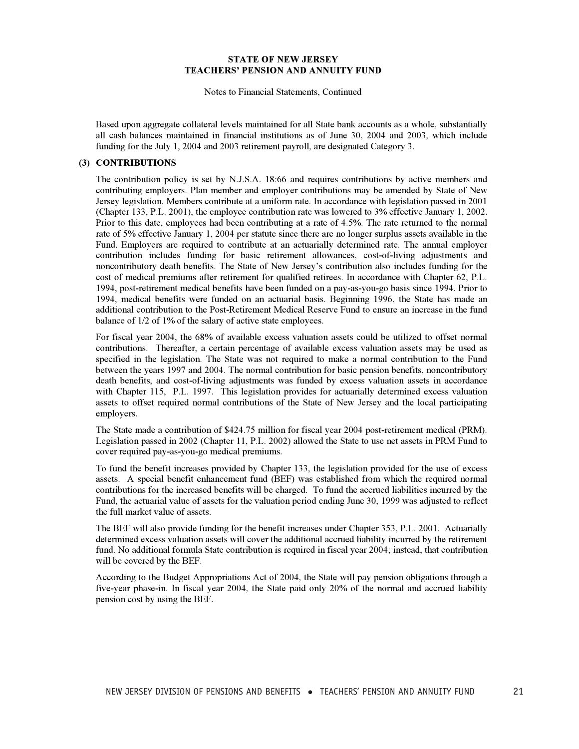Notes to Financial Statements, Continued

Based upon aggregate collateral levels maintained for all State bank accounts as a whole, substantially all cash balances maintained in financial institutions as of June 30, 2004 and 2003, which include funding for the July 1, 2004 and 2003 retirement payroll, are designated Category 3.

#### **(3) CONTRIBUTIONS**

The contribution policy is set by N.J.S.A. 18:66 and requires contributions by active members and contributing employers. Plan member and employer contributions may be amended by State of New Jersey legislation. Members contribute at a uniform rate. In accordance with legislation passed in 2001 (Chapter 133, P.L. 2001), the employee contribution rate was lowered to 3% effective January 1, 2002. Prior to this date, employees had been contributing at a rate of 4.5%. The rate returned to the normal rate of 5% effective January 1, 2004 per statute since there are no longer surplus assets available in the Fund. Employers are required to contribute at an actuarially determined rate. The annual employer contribution includes funding for basic retirement allowances, cost-of-living adjustments and noncontributory death benefits. The State of New Jersey's contribution also includes funding for the cost of medical premiums after retirement for qualified retirees. In accordance with Chapter 62, P.L. 1994, post-retirement medical benefits have been funded on a pay-as-you-go basis since 1994. Prior to 1994, medical benefits were funded on an actuarial basis. Beginning 1996, the State has made an additional contribution to the Post-Retirement Medical Reserve Fund to ensure an increase in the fund balance of 1/2 of 1% of the salary of active state employees.

For fiscal year 2004, the 68% of available excess valuation assets could be utilized to offset normal contributions. Thereafter, a certain percentage of available excess valuation assets may be used as specified in the legislation. The State was not required to make a normal contribution to the Fund between the years 1997 and 2004. The normal contribution for basic pension benefits, noncontributory death benefits, and cost-of-living adjustments was funded by excess valuation assets in accordance with Chapter 115, P.L. 1997. This legislation provides for actuarially determined excess valuation assets to offset required normal contributions of the State of New Jersey and the local participating employers.

The State made a contribution of \$424.75 million for fiscal year 2004 post-retirement medical (PRM). Legislation passed in 2002 (Chapter 11, P.L. 2002) allowed the State to use net assets in PRM Fund to cover required pay-as-you-go medical premiums.

To fund the benefit increases provided by Chapter 133, the legislation provided for the use of excess assets. A special benefit enhancement fund (BEF) was established from which the required normal contributions for the increased benefits will be charged. To fund the accrued liabilities incurred by the Fund, the actuarial value of assets for the valuation period ending June 30, 1999 was adjusted to reflect the full market value of assets.

The BEF will also provide funding for the benefit increases under Chapter 353, P.L. 2001. Actuarially determined excess valuation assets will cover the additional accrued liability incurred by the retirement fund. No additional formula State contribution is required in fiscal year 2004; instead, that contribution will be covered by the BEF.

According to the Budget Appropriations Act of 2004, the State will pay pension obligations through a five-year phase-in. In fiscal year 2004, the State paid only 20% of the normal and accrued liability pension cost by using the BEF.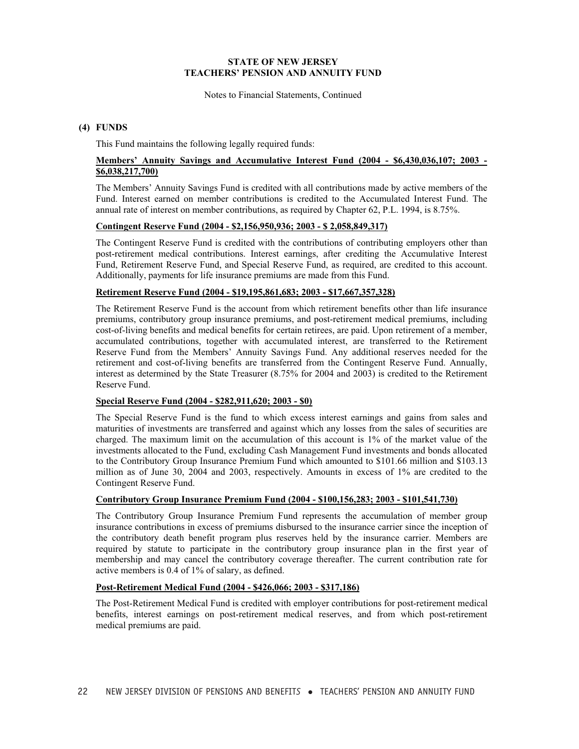Notes to Financial Statements, Continued

#### **(4) FUNDS**

This Fund maintains the following legally required funds:

### **Members' Annuity Savings and Accumulative Interest Fund (2004 - \$6,430,036,107; 2003 - \$6,038,217,700)**

The Members' Annuity Savings Fund is credited with all contributions made by active members of the Fund. Interest earned on member contributions is credited to the Accumulated Interest Fund. The annual rate of interest on member contributions, as required by Chapter 62, P.L. 1994, is 8.75%.

#### **Contingent Reserve Fund (2004 - \$2,156,950,936; 2003 - \$ 2,058,849,317)**

The Contingent Reserve Fund is credited with the contributions of contributing employers other than post-retirement medical contributions. Interest earnings, after crediting the Accumulative Interest Fund, Retirement Reserve Fund, and Special Reserve Fund, as required, are credited to this account. Additionally, payments for life insurance premiums are made from this Fund.

#### **Retirement Reserve Fund (2004 - \$19,195,861,683; 2003 - \$17,667,357,328)**

The Retirement Reserve Fund is the account from which retirement benefits other than life insurance premiums, contributory group insurance premiums, and post-retirement medical premiums, including cost-of-living benefits and medical benefits for certain retirees, are paid. Upon retirement of a member, accumulated contributions, together with accumulated interest, are transferred to the Retirement Reserve Fund from the Members' Annuity Savings Fund. Any additional reserves needed for the retirement and cost-of-living benefits are transferred from the Contingent Reserve Fund. Annually, interest as determined by the State Treasurer (8.75% for 2004 and 2003) is credited to the Retirement Reserve Fund.

#### **Special Reserve Fund (2004 - \$282,911,620; 2003 - \$0)**

The Special Reserve Fund is the fund to which excess interest earnings and gains from sales and maturities of investments are transferred and against which any losses from the sales of securities are charged. The maximum limit on the accumulation of this account is 1% of the market value of the investments allocated to the Fund, excluding Cash Management Fund investments and bonds allocated to the Contributory Group Insurance Premium Fund which amounted to \$101.66 million and \$103.13 million as of June 30, 2004 and 2003, respectively. Amounts in excess of 1% are credited to the Contingent Reserve Fund.

#### **Contributory Group Insurance Premium Fund (2004 - \$100,156,283; 2003 - \$101,541,730)**

The Contributory Group Insurance Premium Fund represents the accumulation of member group insurance contributions in excess of premiums disbursed to the insurance carrier since the inception of the contributory death benefit program plus reserves held by the insurance carrier. Members are required by statute to participate in the contributory group insurance plan in the first year of membership and may cancel the contributory coverage thereafter. The current contribution rate for active members is 0.4 of 1% of salary, as defined.

#### **Post-Retirement Medical Fund (2004 - \$426,066; 2003 - \$317,186)**

The Post-Retirement Medical Fund is credited with employer contributions for post-retirement medical benefits, interest earnings on post-retirement medical reserves, and from which post-retirement medical premiums are paid.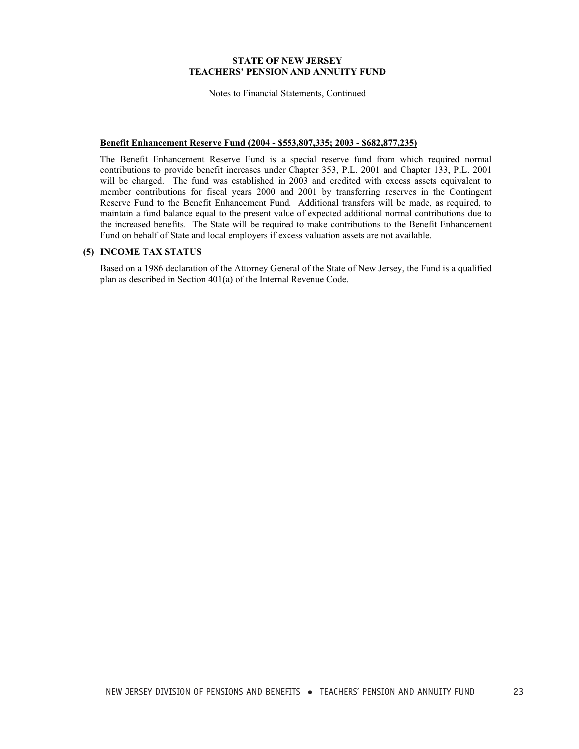Notes to Financial Statements, Continued

#### **Benefit Enhancement Reserve Fund (2004 - \$553,807,335; 2003 - \$682,877,235)**

The Benefit Enhancement Reserve Fund is a special reserve fund from which required normal contributions to provide benefit increases under Chapter 353, P.L. 2001 and Chapter 133, P.L. 2001 will be charged. The fund was established in 2003 and credited with excess assets equivalent to member contributions for fiscal years 2000 and 2001 by transferring reserves in the Contingent Reserve Fund to the Benefit Enhancement Fund. Additional transfers will be made, as required, to maintain a fund balance equal to the present value of expected additional normal contributions due to the increased benefits. The State will be required to make contributions to the Benefit Enhancement Fund on behalf of State and local employers if excess valuation assets are not available.

#### **(5) INCOME TAX STATUS**

Based on a 1986 declaration of the Attorney General of the State of New Jersey, the Fund is a qualified plan as described in Section 401(a) of the Internal Revenue Code.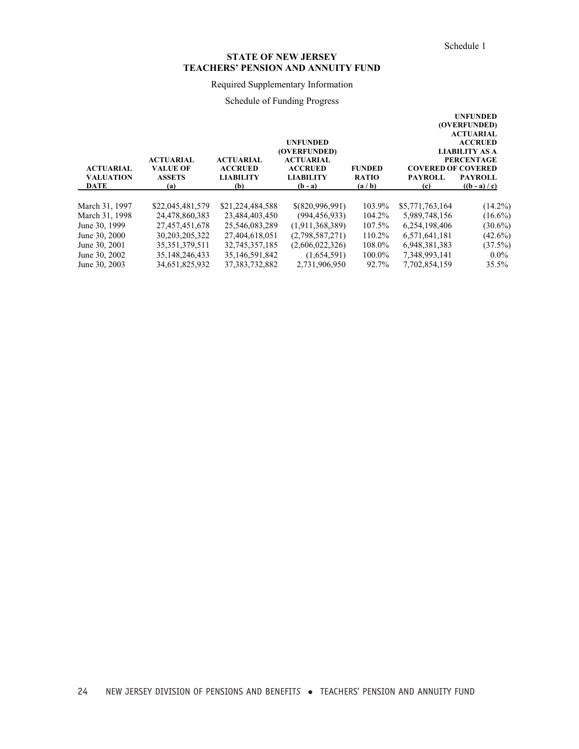# Required Supplementary Information

# Schedule of Funding Progress

|                  |                                     |                                    |                                    |               |                           | <b>UNFUNDED</b><br>(OVERFUNDED) |
|------------------|-------------------------------------|------------------------------------|------------------------------------|---------------|---------------------------|---------------------------------|
|                  |                                     |                                    |                                    |               |                           | <b>ACTUARIAL</b>                |
|                  |                                     |                                    | <b>UNFUNDED</b>                    |               |                           | <b>ACCRUED</b>                  |
|                  |                                     |                                    | (OVERFUNDED)                       |               |                           | <b>LIABILITY AS A</b>           |
| <b>ACTUARIAL</b> | <b>ACTUARIAL</b><br><b>VALUE OF</b> | <b>ACTUARIAL</b><br><b>ACCRUED</b> | <b>ACTUARIAL</b><br><b>ACCRUED</b> | <b>FUNDED</b> | <b>COVERED OF COVERED</b> | <b>PERCENTAGE</b>               |
| <b>VALUATION</b> | <b>ASSETS</b>                       | <b>LIABILITY</b>                   | <b>LIABILITY</b>                   | <b>RATIO</b>  | <b>PAYROLL</b>            | <b>PAYROLL</b>                  |
| DATE             | (a)                                 | (b)                                | $(b - a)$                          | (a/b)         | (c)                       | $((b - a) / c)$                 |
|                  |                                     |                                    |                                    |               |                           |                                 |
| March 31, 1997   | \$22,045,481,579                    | \$21,224,484,588                   | \$(820,996,991)                    | 103.9%        | \$5,771,763,164           | $(14.2\%)$                      |
| March 31, 1998   | 24,478,860,383                      | 23,484,403,450                     | (994, 456, 933)                    | 104.2%        | 5,989,748,156             | $(16.6\%)$                      |
| June 30, 1999    | 27,457,451,678                      | 25,546,083,289                     | (1,911,368,389)                    | 107.5%        | 6,254,198,406             | $(30.6\%)$                      |
| June 30, 2000    | 30, 203, 205, 322                   | 27,404,618,051                     | (2,798,587,271)                    | 110.2%        | 6,571,641,181             | $(42.6\%)$                      |
| June 30, 2001    | 35, 351, 379, 511                   | 32,745,357,185                     | (2,606,022,326)                    | 108.0%        | 6,948,381,383             | (37.5%)                         |
| June 30, 2002    | 35, 148, 246, 433                   | 35,146,591,842                     | (1,654,591)                        | $100.0\%$     | 7,348,993,141             | $0.0\%$                         |
| June 30, 2003    | 34.651.825.932                      | 37.383.732.882                     | 2.731.906.950                      | 92.7%         | 7.702.854.159             | $35.5\%$                        |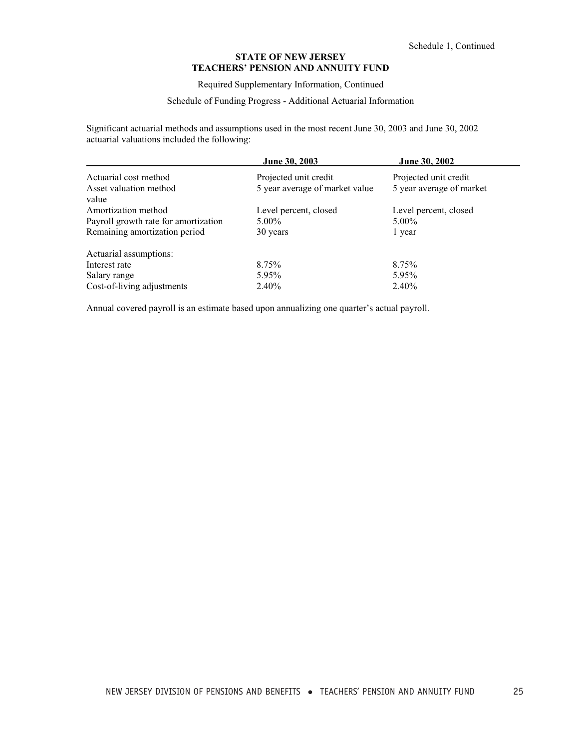Required Supplementary Information, Continued

### Schedule of Funding Progress - Additional Actuarial Information

Significant actuarial methods and assumptions used in the most recent June 30, 2003 and June 30, 2002 actuarial valuations included the following:

|                                      | <b>June 30, 2003</b>           | June 30, 2002            |
|--------------------------------------|--------------------------------|--------------------------|
| Actuarial cost method                | Projected unit credit          | Projected unit credit    |
| Asset valuation method<br>value      | 5 year average of market value | 5 year average of market |
| Amortization method                  | Level percent, closed          | Level percent, closed    |
| Payroll growth rate for amortization | $5.00\%$                       | $5.00\%$                 |
| Remaining amortization period        | 30 years                       | 1 year                   |
| Actuarial assumptions:               |                                |                          |
| Interest rate                        | 8.75%                          | 8.75%                    |
| Salary range                         | 5.95%                          | 5.95%                    |
| Cost-of-living adjustments           | 2.40%                          | 2.40%                    |

Annual covered payroll is an estimate based upon annualizing one quarter's actual payroll.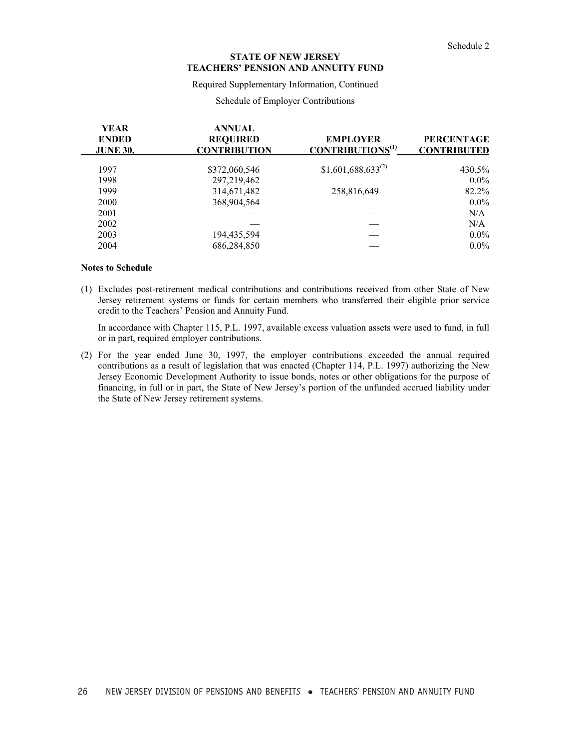Required Supplementary Information, Continued

#### Schedule of Employer Contributions

| <b>YEAR</b><br><b>ENDED</b><br><b>JUNE 30,</b> | <b>ANNUAL</b><br><b>REQUIRED</b><br><b>CONTRIBUTION</b> | <b>EMPLOYER</b><br>CONTRIBUTIONS <sup>(1)</sup> | <b>PERCENTAGE</b><br><b>CONTRIBUTED</b> |
|------------------------------------------------|---------------------------------------------------------|-------------------------------------------------|-----------------------------------------|
| 1997                                           | \$372,060,546                                           | $$1,601,688,633^{(2)}$                          | 430.5%                                  |
| 1998                                           | 297,219,462                                             |                                                 | $0.0\%$                                 |
| 1999                                           | 314,671,482                                             | 258,816,649                                     | 82.2%                                   |
| 2000                                           | 368,904,564                                             |                                                 | $0.0\%$                                 |
| 2001                                           |                                                         |                                                 | N/A                                     |
| 2002                                           |                                                         |                                                 | N/A                                     |
| 2003                                           | 194,435,594                                             |                                                 | $0.0\%$                                 |
| 2004                                           | 686,284,850                                             |                                                 | $0.0\%$                                 |

#### **Notes to Schedule**

(1) Excludes post-retirement medical contributions and contributions received from other State of New Jersey retirement systems or funds for certain members who transferred their eligible prior service credit to the Teachers' Pension and Annuity Fund.

In accordance with Chapter 115, P.L. 1997, available excess valuation assets were used to fund, in full or in part, required employer contributions.

(2) For the year ended June 30, 1997, the employer contributions exceeded the annual required contributions as a result of legislation that was enacted (Chapter 114, P.L. 1997) authorizing the New Jersey Economic Development Authority to issue bonds, notes or other obligations for the purpose of financing, in full or in part, the State of New Jersey's portion of the unfunded accrued liability under the State of New Jersey retirement systems.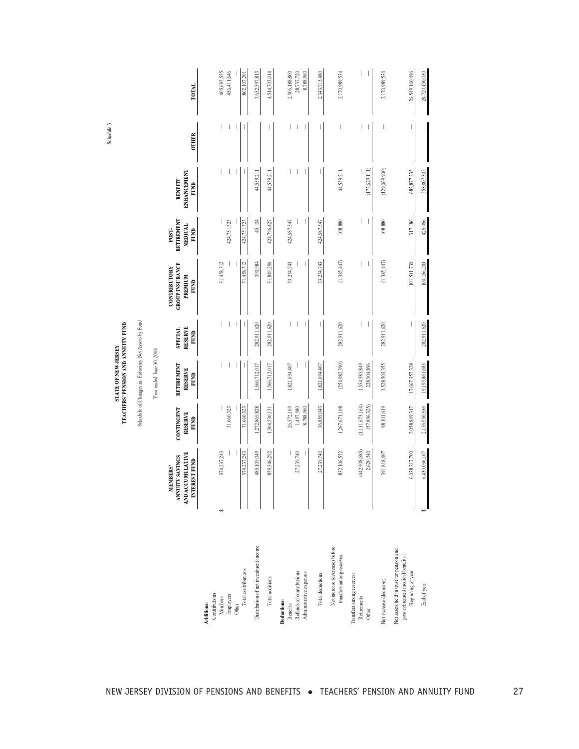|                                                                                                                     |                                                                     | Year ended June 30, 2004                    |                                   |                                                                         |                                                      |                                              |              |  |
|---------------------------------------------------------------------------------------------------------------------|---------------------------------------------------------------------|---------------------------------------------|-----------------------------------|-------------------------------------------------------------------------|------------------------------------------------------|----------------------------------------------|--------------|--|
| AND ACCUMULATIVE<br>ANNUTY SAVINGS<br>INTEREST FUND<br><b>MEMBERS'</b>                                              | CONTINGENT<br><b>RESERVE</b><br>FUND                                | RETIREMENT<br><b>RESERVE</b><br><b>FUND</b> | RESERVE<br><b>SPECIAL</b><br>FUND | <b>GROUP INSURANCE</b><br><b>CONTRIBUTORY</b><br><b>PREMIUM</b><br>FUND | <b>RETIREMENT</b><br><b>MEDICAL</b><br>POST-<br>FUND | <b>ENHANCEMENT</b><br><b>BENEFIT</b><br>FUND | <b>OTHER</b> |  |
| 374,237,243<br>$\Theta$<br>Contributions:<br>Members<br>Additions:                                                  |                                                                     |                                             |                                   | 31,458,312                                                              |                                                      |                                              |              |  |
| Employers                                                                                                           | 31,660,323                                                          |                                             |                                   |                                                                         | 424,751,323                                          |                                              |              |  |
| 374,237,243<br>Total contributions<br>Other                                                                         | 31,660,323                                                          |                                             |                                   | 31,458,312                                                              | 424,751,323                                          |                                              |              |  |
| 485,109,049<br>Distribution of net investment income                                                                | 1,272,869,828                                                       | 1,566,712,017                               | 282,911,620                       | 390,984                                                                 | 45,104                                               | 44,559,211                                   |              |  |
| 859,346,292<br>Total additions                                                                                      | 1,304,530,151                                                       | 1,566,712,017                               | 282,911,620                       | 31,849,296                                                              | 424,796,427                                          | 44,559,211                                   |              |  |
| 27,239,740<br>Refunds of contributions<br>Administrative expenses<br>Deductions:<br>Benefits                        | $\begin{array}{c} 26,572,103 \\ 1,497,980 \end{array}$<br>8,788,960 | 1,821,694,407                               | -1                                | 33,234,743                                                              | 424,687,547                                          |                                              |              |  |
| 27,239,740<br>Total deductions                                                                                      | 36,859,043                                                          | 1,821,694,407                               |                                   | 33,234,743                                                              | 424,687,547                                          |                                              |              |  |
| 832,106,552<br>Net increase (decrease) before<br>transfers among reserves                                           | 1,267,671,108                                                       | (254, 982, 390)                             | 282,911,620                       | (1,385,447)                                                             | 108,880                                              | 44,559,211                                   | I            |  |
| (442,908,685)<br>2,620,540<br>Transfers among reserves:<br>Retirements<br>Other                                     | (1, 111, 673, 164)<br>(57,896,325)                                  | 1,554,581,849<br>228,904,896                |                                   |                                                                         | T                                                    | (173,629,111)                                | I            |  |
| 391,818,407<br>Net increase (decrease)                                                                              | 98,101,619                                                          | 1,528,504,355                               | 282,911,620                       | (1,385,447)                                                             | 108,880                                              | (129,069,900)                                |              |  |
| 6,038,217,700<br>Net assets held in trust for pension and<br>post-retirement medical benefits:<br>Beginning of year | 2,058,849,317                                                       | 17,667,357,328                              |                                   | 101,541,730                                                             | 317,186                                              | 682,877,235                                  |              |  |
| 6,430,036,107<br>$\frac{1}{2}$<br>End of year                                                                       | 2,156,950,936                                                       | 19,195,861,683                              | 282,911,620                       | 100,156,283                                                             | 426,066                                              | 553,807,335                                  |              |  |